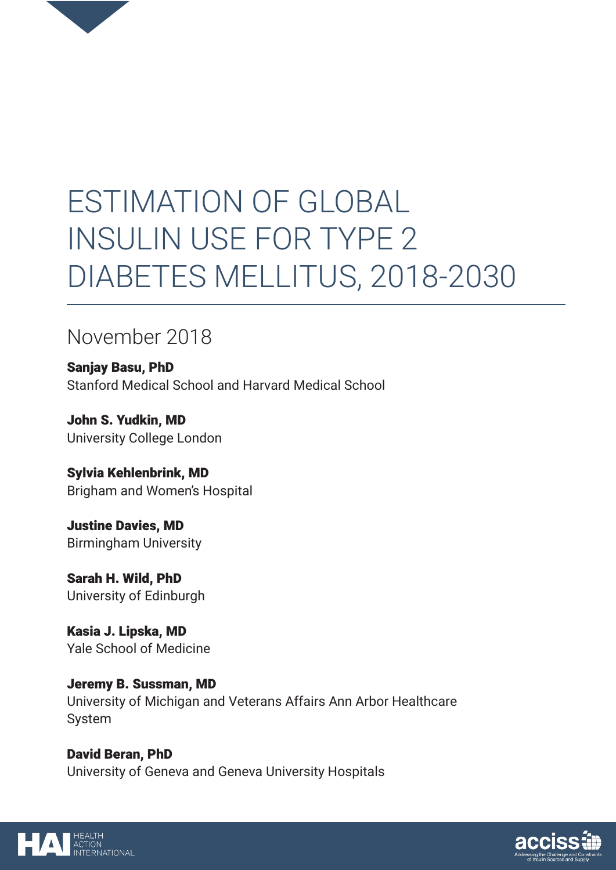

# ESTIMATION OF GLOBAL INSULIN USE FOR TYPE 2 DIABETES MELLITUS, 2018-2030

## November 2018

Sanjay Basu, PhD Stanford Medical School and Harvard Medical School

John S. Yudkin, MD University College London

Sylvia Kehlenbrink, MD Brigham and Women's Hospital

Justine Davies, MD Birmingham University

Sarah H. Wild, PhD University of Edinburgh

Kasia J. Lipska, MD Yale School of Medicine

Jeremy B. Sussman, MD University of Michigan and Veterans Affairs Ann Arbor Healthcare System

David Beran, PhD University of Geneva and Geneva University Hospitals



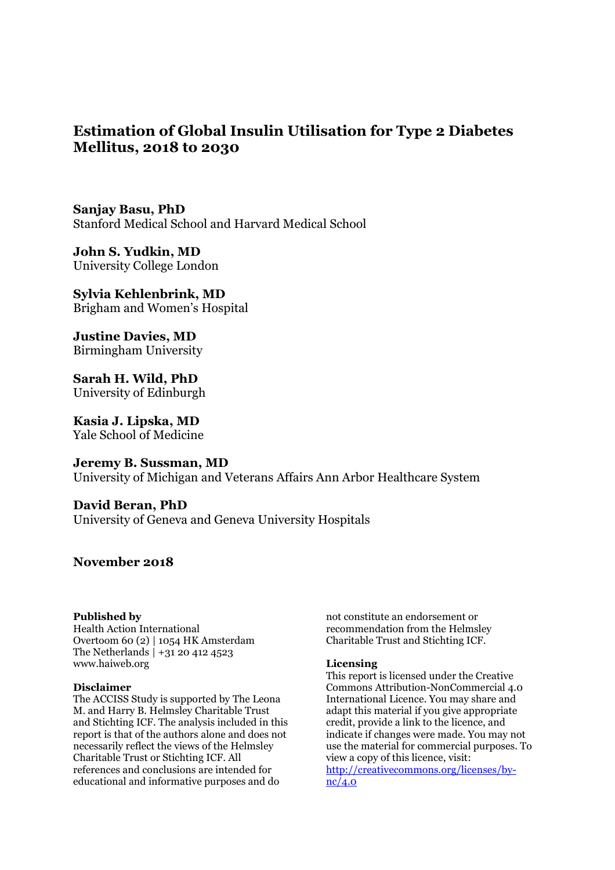### **Estimation of Global Insulin Utilisation for Type 2 Diabetes Mellitus, 2018 to 2030**

**Sanjay Basu, PhD**  Stanford Medical School and Harvard Medical School

**John S. Yudkin, MD** University College London

**Sylvia Kehlenbrink, MD**  Brigham and Women's Hospital

**Justine Davies, MD**  Birmingham University

**Sarah H. Wild, PhD**  University of Edinburgh

**Kasia J. Lipska, MD**  Yale School of Medicine

**Jeremy B. Sussman, MD**  University of Michigan and Veterans Affairs Ann Arbor Healthcare System

**David Beran, PhD**  University of Geneva and Geneva University Hospitals

#### **November 2018**

#### **Published by**

Health Action International Overtoom 60 (2) | 1054 HK Amsterdam The Netherlands | +31 20 412 4523 [www.haiweb.org](http://www.haiweb.org/) 

#### **Disclaimer**

The ACCISS Study is supported by The Leona M. and Harry B. Helmsley Charitable Trust and Stichting ICF. The analysis included in this report is that of the authors alone and does not necessarily reflect the views of the Helmsley Charitable Trust or Stichting ICF. All references and conclusions are intended for educational and informative purposes and do

not constitute an endorsement or recommendation from the Helmsley Charitable Trust and Stichting ICF.

#### **Licensing**

This report is licensed under the Creative Commons Attribution-NonCommercial 4.0 International Licence. You may share and adapt this material if you give appropriate credit, provide a link to the licence, and indicate if changes were made. You may not use the material for commercial purposes. To view a copy of this licence, visit: http://creativecommons.org/licenses/bync/4.0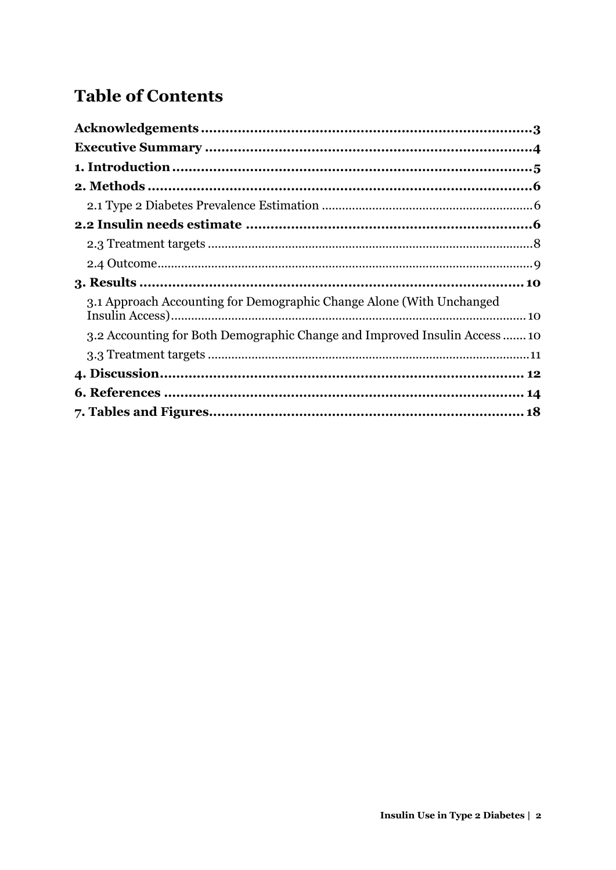## **Table of Contents**

| 3.1 Approach Accounting for Demographic Change Alone (With Unchanged     |  |
|--------------------------------------------------------------------------|--|
| 3.2 Accounting for Both Demographic Change and Improved Insulin Access10 |  |
|                                                                          |  |
|                                                                          |  |
|                                                                          |  |
|                                                                          |  |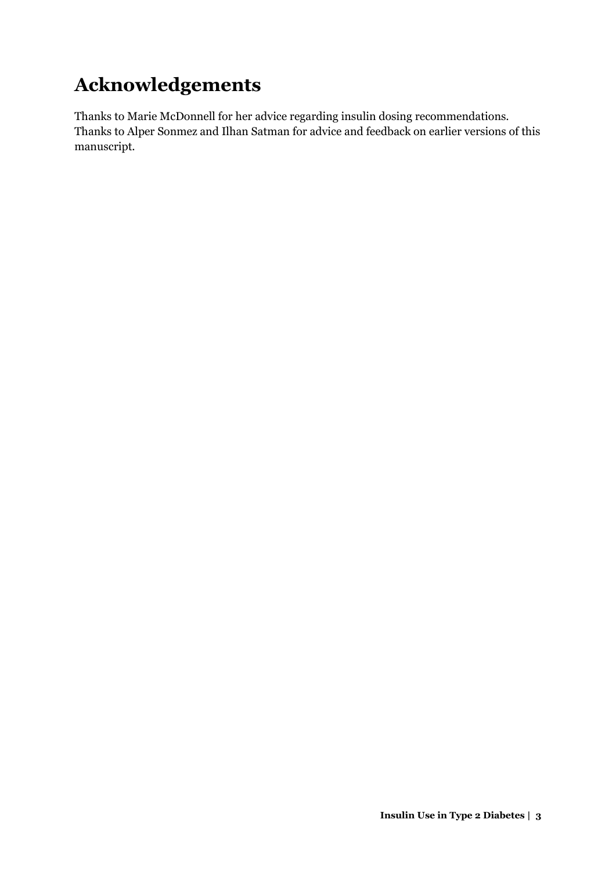## <span id="page-3-0"></span>**Acknowledgements**

Thanks to Marie McDonnell for her advice regarding insulin dosing recommendations. Thanks to Alper Sonmez and Ilhan Satman for advice and feedback on earlier versions of this manuscript.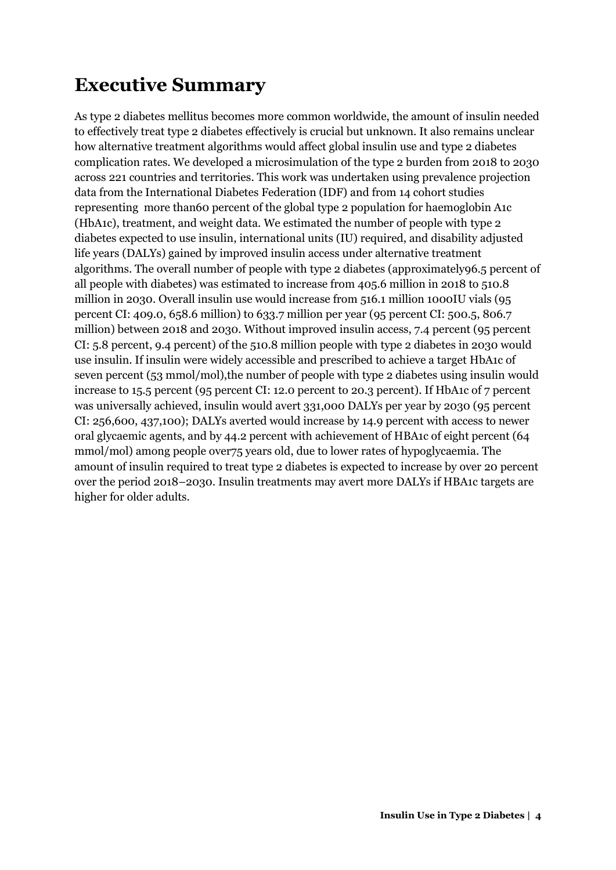## <span id="page-4-0"></span>**Executive Summary**

As type 2 diabetes mellitus becomes more common worldwide, the amount of insulin needed to effectively treat type 2 diabetes effectively is crucial but unknown. It also remains unclear how alternative treatment algorithms would affect global insulin use and type 2 diabetes complication rates. We developed a microsimulation of the type 2 burden from 2018 to 2030 across 221 countries and territories. This work was undertaken using prevalence projection data from the International Diabetes Federation (IDF) and from 14 cohort studies representing more than60 percent of the global type 2 population for haemoglobin A1c (HbA1c), treatment, and weight data. We estimated the number of people with type 2 diabetes expected to use insulin, international units (IU) required, and disability adjusted life years (DALYs) gained by improved insulin access under alternative treatment algorithms. The overall number of people with type 2 diabetes (approximately96.5 percent of all people with diabetes) was estimated to increase from 405.6 million in 2018 to 510.8 million in 2030. Overall insulin use would increase from 516.1 million 1000IU vials (95 percent CI: 409.0, 658.6 million) to 633.7 million per year (95 percent CI: 500.5, 806.7 million) between 2018 and 2030. Without improved insulin access, 7.4 percent (95 percent CI: 5.8 percent, 9.4 percent) of the 510.8 million people with type 2 diabetes in 2030 would use insulin. If insulin were widely accessible and prescribed to achieve a target HbA1c of seven percent (53 mmol/mol),the number of people with type 2 diabetes using insulin would increase to 15.5 percent (95 percent CI: 12.0 percent to 20.3 percent). If HbA1c of 7 percent was universally achieved, insulin would avert 331,000 DALYs per year by 2030 (95 percent CI: 256,600, 437,100); DALYs averted would increase by 14.9 percent with access to newer oral glycaemic agents, and by 44.2 percent with achievement of HBA1c of eight percent (64 mmol/mol) among people over75 years old, due to lower rates of hypoglycaemia. The amount of insulin required to treat type 2 diabetes is expected to increase by over 20 percent over the period 2018–2030. Insulin treatments may avert more DALYs if HBA1c targets are higher for older adults.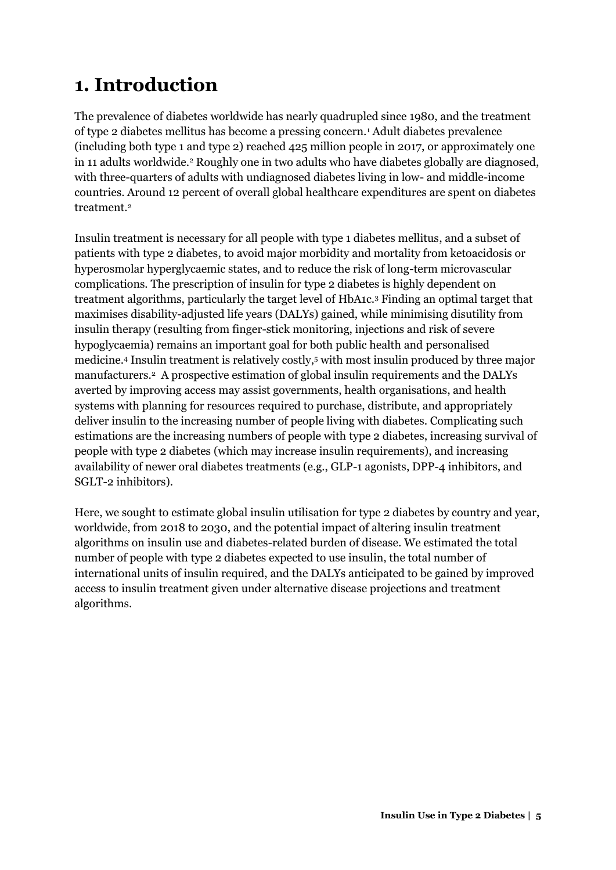## <span id="page-5-0"></span>**1. Introduction**

The prevalence of diabetes worldwide has nearly quadrupled since 1980, and the treatment of type 2 diabetes mellitus has become a pressing concern.<sup>1</sup> Adult diabetes prevalence (including both type 1 and type 2) reached 425 million people in 2017, or approximately one in 11 adults worldwide.<sup>2</sup> Roughly one in two adults who have diabetes globally are diagnosed, with three-quarters of adults with undiagnosed diabetes living in low- and middle-income countries. Around 12 percent of overall global healthcare expenditures are spent on diabetes treatment.<sup>2</sup>

Insulin treatment is necessary for all people with type 1 diabetes mellitus, and a subset of patients with type 2 diabetes, to avoid major morbidity and mortality from ketoacidosis or hyperosmolar hyperglycaemic states, and to reduce the risk of long-term microvascular complications. The prescription of insulin for type 2 diabetes is highly dependent on treatment algorithms, particularly the target level of HbA1c.<sup>3</sup> Finding an optimal target that maximises disability-adjusted life years (DALYs) gained, while minimising disutility from insulin therapy (resulting from finger-stick monitoring, injections and risk of severe hypoglycaemia) remains an important goal for both public health and personalised medicine.<sup>4</sup> Insulin treatment is relatively costly,<sup>5</sup> with most insulin produced by three major manufacturers.<sup>2</sup> A prospective estimation of global insulin requirements and the DALYs averted by improving access may assist governments, health organisations, and health systems with planning for resources required to purchase, distribute, and appropriately deliver insulin to the increasing number of people living with diabetes. Complicating such estimations are the increasing numbers of people with type 2 diabetes, increasing survival of people with type 2 diabetes (which may increase insulin requirements), and increasing availability of newer oral diabetes treatments (e.g., GLP-1 agonists, DPP-4 inhibitors, and SGLT-2 inhibitors).

Here, we sought to estimate global insulin utilisation for type 2 diabetes by country and year, worldwide, from 2018 to 2030, and the potential impact of altering insulin treatment algorithms on insulin use and diabetes-related burden of disease. We estimated the total number of people with type 2 diabetes expected to use insulin, the total number of international units of insulin required, and the DALYs anticipated to be gained by improved access to insulin treatment given under alternative disease projections and treatment algorithms.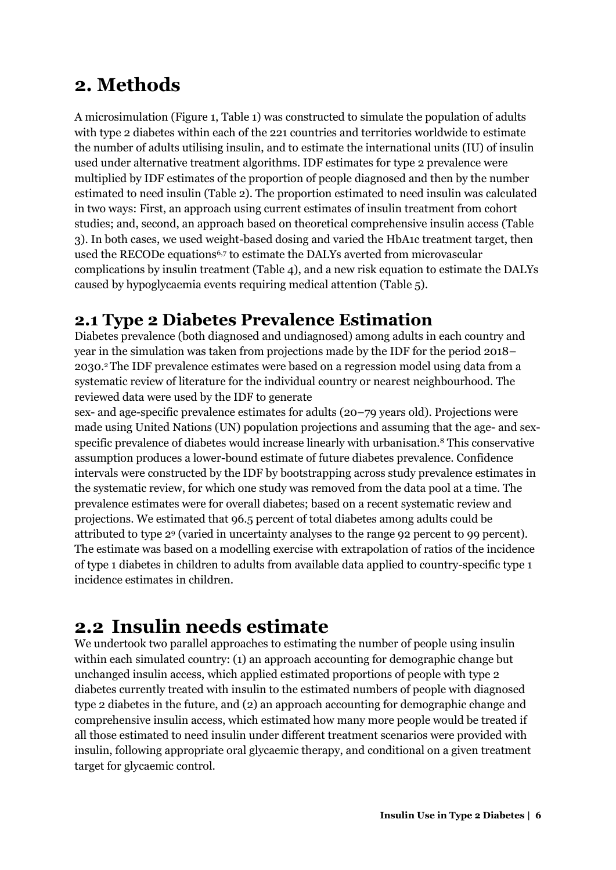### <span id="page-6-0"></span>**2. Methods**

A microsimulation (Figure 1, Table 1) was constructed to simulate the population of adults with type 2 diabetes within each of the 221 countries and territories worldwide to estimate the number of adults utilising insulin, and to estimate the international units (IU) of insulin used under alternative treatment algorithms. IDF estimates for type 2 prevalence were multiplied by IDF estimates of the proportion of people diagnosed and then by the number estimated to need insulin (Table 2). The proportion estimated to need insulin was calculated in two ways: First, an approach using current estimates of insulin treatment from cohort studies; and, second, an approach based on theoretical comprehensive insulin access (Table 3). In both cases, we used weight-based dosing and varied the HbA1c treatment target, then used the RECODe equations<sup>6,7</sup> to estimate the DALYs averted from microvascular complications by insulin treatment (Table 4), and a new risk equation to estimate the DALYs caused by hypoglycaemia events requiring medical attention (Table 5).

### <span id="page-6-1"></span>**2.1 Type 2 Diabetes Prevalence Estimation**

Diabetes prevalence (both diagnosed and undiagnosed) among adults in each country and year in the simulation was taken from projections made by the IDF for the period 2018– 2030.2 The IDF prevalence estimates were based on a regression model using data from a systematic review of literature for the individual country or nearest neighbourhood. The reviewed data were used by the IDF to generate

sex- and age-specific prevalence estimates for adults (20–79 years old). Projections were made using United Nations (UN) population projections and assuming that the age- and sexspecific prevalence of diabetes would increase linearly with urbanisation.8 This conservative assumption produces a lower-bound estimate of future diabetes prevalence. Confidence intervals were constructed by the IDF by bootstrapping across study prevalence estimates in the systematic review, for which one study was removed from the data pool at a time. The prevalence estimates were for overall diabetes; based on a recent systematic review and projections. We estimated that 96.5 percent of total diabetes among adults could be attributed to type 2<sup>9</sup> (varied in uncertainty analyses to the range 92 percent to 99 percent). The estimate was based on a modelling exercise with extrapolation of ratios of the incidence of type 1 diabetes in children to adults from available data applied to country-specific type 1 incidence estimates in children.

## <span id="page-6-2"></span>**2.2 Insulin needs estimate**

We undertook two parallel approaches to estimating the number of people using insulin within each simulated country: (1) an approach accounting for demographic change but unchanged insulin access, which applied estimated proportions of people with type 2 diabetes currently treated with insulin to the estimated numbers of people with diagnosed type 2 diabetes in the future, and (2) an approach accounting for demographic change and comprehensive insulin access, which estimated how many more people would be treated if all those estimated to need insulin under different treatment scenarios were provided with insulin, following appropriate oral glycaemic therapy, and conditional on a given treatment target for glycaemic control.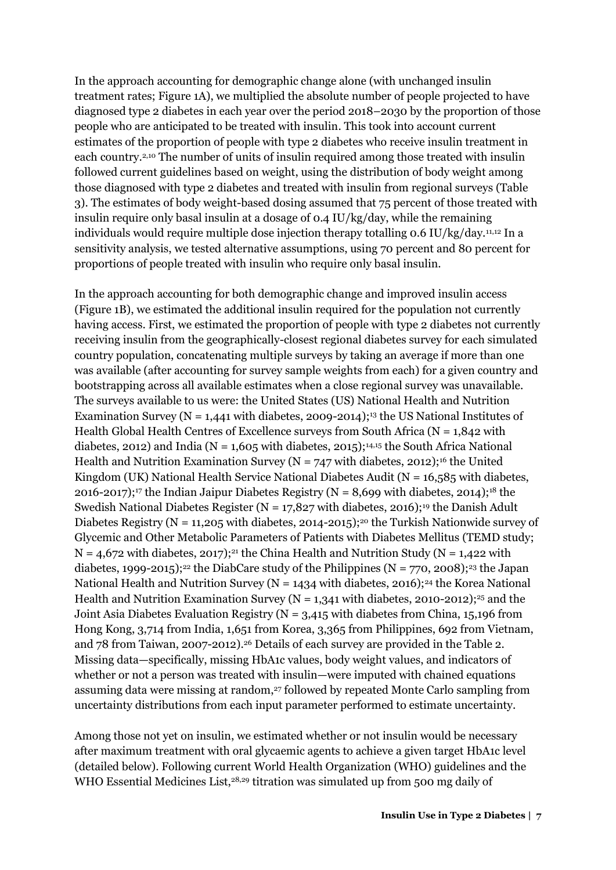In the approach accounting for demographic change alone (with unchanged insulin treatment rates; Figure 1A), we multiplied the absolute number of people projected to have diagnosed type 2 diabetes in each year over the period 2018–2030 by the proportion of those people who are anticipated to be treated with insulin. This took into account current estimates of the proportion of people with type 2 diabetes who receive insulin treatment in each country.2,10 The number of units of insulin required among those treated with insulin followed current guidelines based on weight, using the distribution of body weight among those diagnosed with type 2 diabetes and treated with insulin from regional surveys (Table 3). The estimates of body weight-based dosing assumed that 75 percent of those treated with insulin require only basal insulin at a dosage of 0.4 IU/kg/day, while the remaining individuals would require multiple dose injection therapy totalling 0.6 IU/kg/day.11,12 In a sensitivity analysis, we tested alternative assumptions, using 70 percent and 80 percent for proportions of people treated with insulin who require only basal insulin.

In the approach accounting for both demographic change and improved insulin access (Figure 1B), we estimated the additional insulin required for the population not currently having access. First, we estimated the proportion of people with type 2 diabetes not currently receiving insulin from the geographically-closest regional diabetes survey for each simulated country population, concatenating multiple surveys by taking an average if more than one was available (after accounting for survey sample weights from each) for a given country and bootstrapping across all available estimates when a close regional survey was unavailable. The surveys available to us were: the United States (US) National Health and Nutrition Examination Survey ( $N = 1,441$  with diabetes, 2009-2014);<sup>13</sup> the US National Institutes of Health Global Health Centres of Excellence surveys from South Africa ( $N = 1.842$  with diabetes, 2012) and India ( $N = 1,605$  with diabetes, 2015);<sup>14,15</sup> the South Africa National Health and Nutrition Examination Survey ( $N = 747$  with diabetes, 2012);<sup>16</sup> the United Kingdom (UK) National Health Service National Diabetes Audit ( $N = 16,585$  with diabetes, 2016-2017);<sup>17</sup> the Indian Jaipur Diabetes Registry (N = 8,699 with diabetes, 2014);<sup>18</sup> the Swedish National Diabetes Register ( $N = 17,827$  with diabetes, 2016);<sup>19</sup> the Danish Adult Diabetes Registry (N = 11,205 with diabetes, 2014-2015);<sup>20</sup> the Turkish Nationwide survey of Glycemic and Other Metabolic Parameters of Patients with Diabetes Mellitus (TEMD study;  $N = 4.672$  with diabetes, 2017);<sup>21</sup> the China Health and Nutrition Study (N = 1,422 with diabetes, 1999-2015);<sup>22</sup> the DiabCare study of the Philippines (N = 770, 2008);<sup>23</sup> the Japan National Health and Nutrition Survey (N = 1434 with diabetes, 2016);<sup>24</sup> the Korea National Health and Nutrition Examination Survey ( $N = 1,341$  with diabetes, 2010-2012);<sup>25</sup> and the Joint Asia Diabetes Evaluation Registry ( $N = 3.415$  with diabetes from China, 15,196 from Hong Kong, 3,714 from India, 1,651 from Korea, 3,365 from Philippines, 692 from Vietnam, and 78 from Taiwan, 2007-2012).26 Details of each survey are provided in the Table 2. Missing data—specifically, missing HbA1c values, body weight values, and indicators of whether or not a person was treated with insulin—were imputed with chained equations assuming data were missing at random,<sup>27</sup> followed by repeated Monte Carlo sampling from uncertainty distributions from each input parameter performed to estimate uncertainty.

Among those not yet on insulin, we estimated whether or not insulin would be necessary after maximum treatment with oral glycaemic agents to achieve a given target HbA1c level (detailed below). Following current World Health Organization (WHO) guidelines and the WHO Essential Medicines List,<sup>28,29</sup> titration was simulated up from 500 mg daily of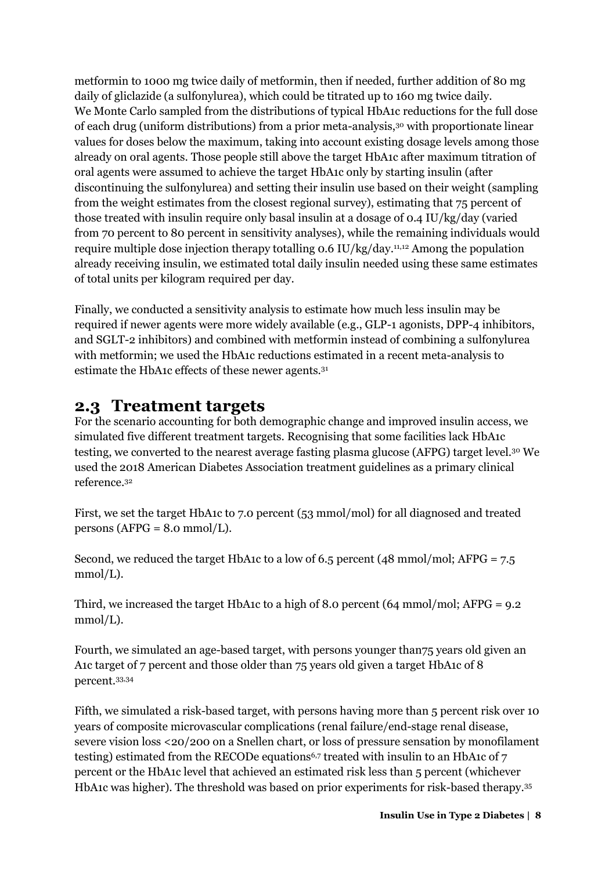metformin to 1000 mg twice daily of metformin, then if needed, further addition of 80 mg daily of gliclazide (a sulfonylurea), which could be titrated up to 160 mg twice daily. We Monte Carlo sampled from the distributions of typical HbA1c reductions for the full dose of each drug (uniform distributions) from a prior meta-analysis,30 with proportionate linear values for doses below the maximum, taking into account existing dosage levels among those already on oral agents. Those people still above the target HbA1c after maximum titration of oral agents were assumed to achieve the target HbA1c only by starting insulin (after discontinuing the sulfonylurea) and setting their insulin use based on their weight (sampling from the weight estimates from the closest regional survey), estimating that 75 percent of those treated with insulin require only basal insulin at a dosage of 0.4 IU/kg/day (varied from 70 percent to 80 percent in sensitivity analyses), while the remaining individuals would require multiple dose injection therapy totalling  $0.6$  IU/kg/day.<sup>11,12</sup> Among the population already receiving insulin, we estimated total daily insulin needed using these same estimates of total units per kilogram required per day.

Finally, we conducted a sensitivity analysis to estimate how much less insulin may be required if newer agents were more widely available (e.g., GLP-1 agonists, DPP-4 inhibitors, and SGLT-2 inhibitors) and combined with metformin instead of combining a sulfonylurea with metformin; we used the HbA1c reductions estimated in a recent meta-analysis to estimate the HbA1c effects of these newer agents.<sup>31</sup>

### <span id="page-8-0"></span>**2.3 Treatment targets**

For the scenario accounting for both demographic change and improved insulin access, we simulated five different treatment targets. Recognising that some facilities lack HbA1c testing, we converted to the nearest average fasting plasma glucose (AFPG) target level.30 We used the 2018 American Diabetes Association treatment guidelines as a primary clinical reference.<sup>32</sup>

First, we set the target HbA1c to 7.0 percent (53 mmol/mol) for all diagnosed and treated persons (AFPG =  $8.0$  mmol/L).

Second, we reduced the target HbA1c to a low of 6.5 percent (48 mmol/mol; AFPG = 7.5 mmol/L).

Third, we increased the target HbA1c to a high of 8.0 percent (64 mmol/mol; AFPG = 9.2 mmol/L).

Fourth, we simulated an age-based target, with persons younger than75 years old given an A1c target of 7 percent and those older than 75 years old given a target HbA1c of 8 percent.33,34

Fifth, we simulated a risk-based target, with persons having more than 5 percent risk over 10 years of composite microvascular complications (renal failure/end-stage renal disease, severe vision loss <20/200 on a Snellen chart, or loss of pressure sensation by monofilament testing) estimated from the RECODe equations<sup>6,7</sup> treated with insulin to an HbA1c of  $7$ percent or the HbA1c level that achieved an estimated risk less than 5 percent (whichever HbA1c was higher). The threshold was based on prior experiments for risk-based therapy.35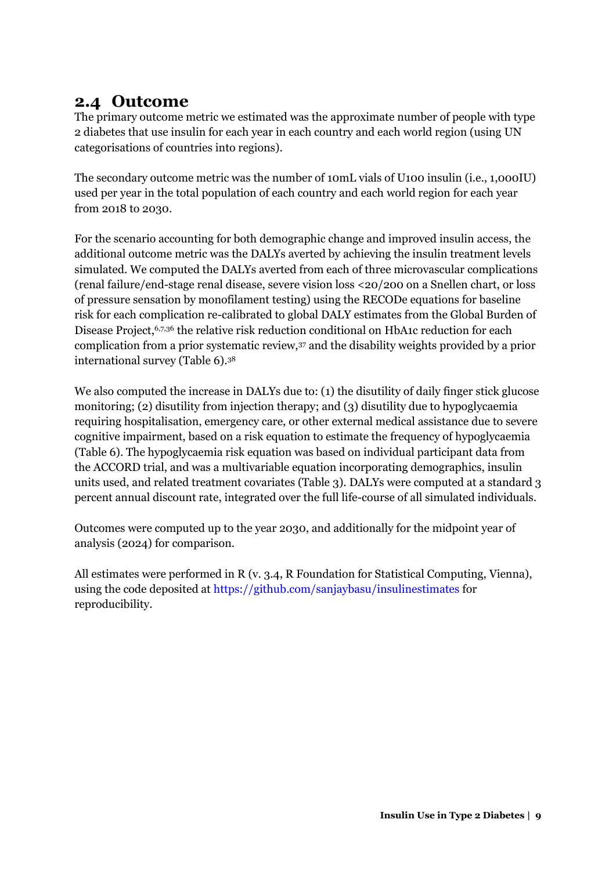### <span id="page-9-0"></span>**2.4 Outcome**

The primary outcome metric we estimated was the approximate number of people with type 2 diabetes that use insulin for each year in each country and each world region (using UN categorisations of countries into regions).

The secondary outcome metric was the number of 10mL vials of U100 insulin (i.e., 1,000IU) used per year in the total population of each country and each world region for each year from 2018 to 2030.

For the scenario accounting for both demographic change and improved insulin access, the additional outcome metric was the DALYs averted by achieving the insulin treatment levels simulated. We computed the DALYs averted from each of three microvascular complications (renal failure/end-stage renal disease, severe vision loss <20/200 on a Snellen chart, or loss of pressure sensation by monofilament testing) using the RECODe equations for baseline risk for each complication re-calibrated to global DALY estimates from the Global Burden of Disease Project,<sup>6,7,36</sup> the relative risk reduction conditional on HbA1c reduction for each complication from a prior systematic review,37 and the disability weights provided by a prior international survey (Table 6).<sup>38</sup>

We also computed the increase in DALYs due to: (1) the disutility of daily finger stick glucose monitoring; (2) disutility from injection therapy; and (3) disutility due to hypoglycaemia requiring hospitalisation, emergency care, or other external medical assistance due to severe cognitive impairment, based on a risk equation to estimate the frequency of hypoglycaemia (Table 6). The hypoglycaemia risk equation was based on individual participant data from the ACCORD trial, and was a multivariable equation incorporating demographics, insulin units used, and related treatment covariates (Table 3). DALYs were computed at a standard 3 percent annual discount rate, integrated over the full life-course of all simulated individuals.

Outcomes were computed up to the year 2030, and additionally for the midpoint year of analysis (2024) for comparison.

All estimates were performed in R (v. 3.4, R Foundation for Statistical Computing, Vienna), using the code deposited at<https://github.com/sanjaybasu/insulinestimates>for reproducibility.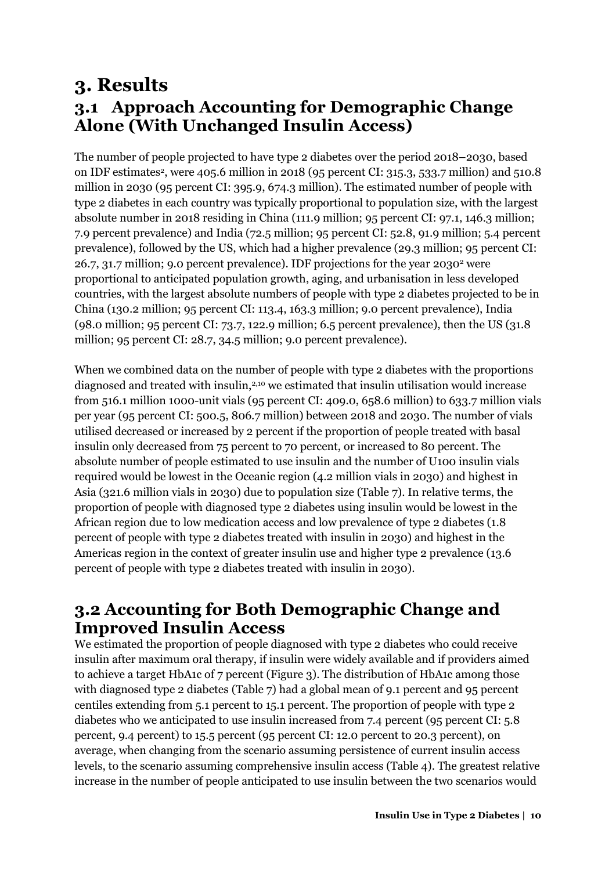### <span id="page-10-1"></span><span id="page-10-0"></span>**3. Results 3.1 Approach Accounting for Demographic Change Alone (With Unchanged Insulin Access)**

The number of people projected to have type 2 diabetes over the period 2018–2030, based on IDF estimates<sup>2</sup>, were 405.6 million in 2018 (95 percent CI: 315.3, 533.7 million) and 510.8 million in 2030 (95 percent CI: 395.9, 674.3 million). The estimated number of people with type 2 diabetes in each country was typically proportional to population size, with the largest absolute number in 2018 residing in China (111.9 million; 95 percent CI: 97.1, 146.3 million; 7.9 percent prevalence) and India (72.5 million; 95 percent CI: 52.8, 91.9 million; 5.4 percent prevalence), followed by the US, which had a higher prevalence (29.3 million; 95 percent CI: 26.7, 31.7 million; 9.0 percent prevalence). IDF projections for the year 2030<sup>2</sup> were proportional to anticipated population growth, aging, and urbanisation in less developed countries, with the largest absolute numbers of people with type 2 diabetes projected to be in China (130.2 million; 95 percent CI: 113.4, 163.3 million; 9.0 percent prevalence), India (98.0 million; 95 percent CI: 73.7, 122.9 million; 6.5 percent prevalence), then the US (31.8 million; 95 percent CI: 28.7, 34.5 million; 9.0 percent prevalence).

When we combined data on the number of people with type 2 diabetes with the proportions diagnosed and treated with insulin,<sup>2,10</sup> we estimated that insulin utilisation would increase from 516.1 million 1000-unit vials (95 percent CI: 409.0, 658.6 million) to 633.7 million vials per year (95 percent CI: 500.5, 806.7 million) between 2018 and 2030. The number of vials utilised decreased or increased by 2 percent if the proportion of people treated with basal insulin only decreased from 75 percent to 70 percent, or increased to 80 percent. The absolute number of people estimated to use insulin and the number of U100 insulin vials required would be lowest in the Oceanic region (4.2 million vials in 2030) and highest in Asia (321.6 million vials in 2030) due to population size (Table 7). In relative terms, the proportion of people with diagnosed type 2 diabetes using insulin would be lowest in the African region due to low medication access and low prevalence of type 2 diabetes (1.8 percent of people with type 2 diabetes treated with insulin in 2030) and highest in the Americas region in the context of greater insulin use and higher type 2 prevalence (13.6 percent of people with type 2 diabetes treated with insulin in 2030).

### <span id="page-10-2"></span>**3.2 Accounting for Both Demographic Change and Improved Insulin Access**

We estimated the proportion of people diagnosed with type 2 diabetes who could receive insulin after maximum oral therapy, if insulin were widely available and if providers aimed to achieve a target HbA1c of 7 percent (Figure 3). The distribution of HbA1c among those with diagnosed type 2 diabetes (Table 7) had a global mean of 9.1 percent and 95 percent centiles extending from 5.1 percent to 15.1 percent. The proportion of people with type 2 diabetes who we anticipated to use insulin increased from 7.4 percent (95 percent CI: 5.8 percent, 9.4 percent) to 15.5 percent (95 percent CI: 12.0 percent to 20.3 percent), on average, when changing from the scenario assuming persistence of current insulin access levels, to the scenario assuming comprehensive insulin access (Table 4). The greatest relative increase in the number of people anticipated to use insulin between the two scenarios would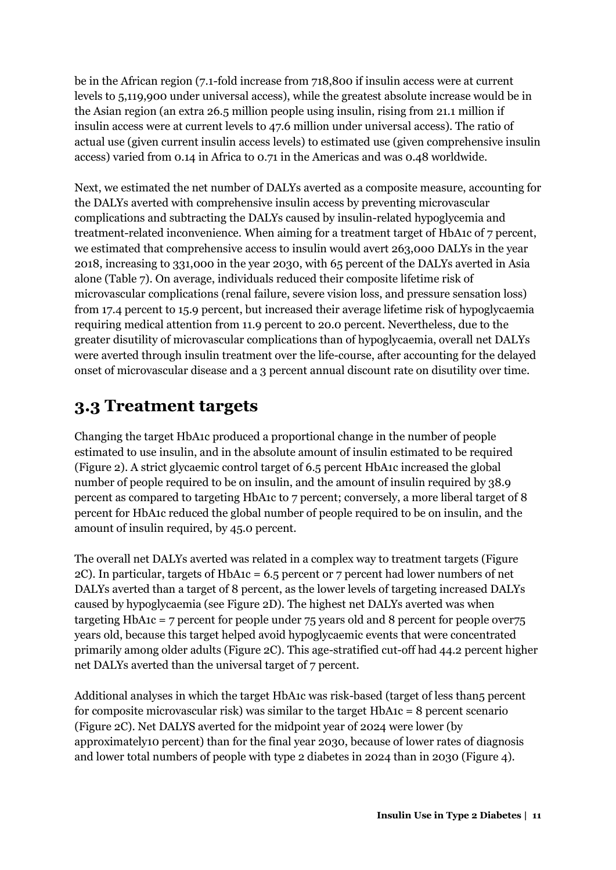be in the African region (7.1-fold increase from 718,800 if insulin access were at current levels to 5,119,900 under universal access), while the greatest absolute increase would be in the Asian region (an extra 26.5 million people using insulin, rising from 21.1 million if insulin access were at current levels to 47.6 million under universal access). The ratio of actual use (given current insulin access levels) to estimated use (given comprehensive insulin access) varied from 0.14 in Africa to 0.71 in the Americas and was 0.48 worldwide.

Next, we estimated the net number of DALYs averted as a composite measure, accounting for the DALYs averted with comprehensive insulin access by preventing microvascular complications and subtracting the DALYs caused by insulin-related hypoglycemia and treatment-related inconvenience. When aiming for a treatment target of HbA1c of 7 percent, we estimated that comprehensive access to insulin would avert 263,000 DALYs in the year 2018, increasing to 331,000 in the year 2030, with 65 percent of the DALYs averted in Asia alone (Table 7). On average, individuals reduced their composite lifetime risk of microvascular complications (renal failure, severe vision loss, and pressure sensation loss) from 17.4 percent to 15.9 percent, but increased their average lifetime risk of hypoglycaemia requiring medical attention from 11.9 percent to 20.0 percent. Nevertheless, due to the greater disutility of microvascular complications than of hypoglycaemia, overall net DALYs were averted through insulin treatment over the life-course, after accounting for the delayed onset of microvascular disease and a 3 percent annual discount rate on disutility over time.

### <span id="page-11-0"></span>**3.3 Treatment targets**

Changing the target HbA1c produced a proportional change in the number of people estimated to use insulin, and in the absolute amount of insulin estimated to be required (Figure 2). A strict glycaemic control target of 6.5 percent HbA1c increased the global number of people required to be on insulin, and the amount of insulin required by 38.9 percent as compared to targeting HbA1c to 7 percent; conversely, a more liberal target of 8 percent for HbA1c reduced the global number of people required to be on insulin, and the amount of insulin required, by 45.0 percent.

The overall net DALYs averted was related in a complex way to treatment targets (Figure 2C). In particular, targets of HbA1c = 6.5 percent or 7 percent had lower numbers of net DALYs averted than a target of 8 percent, as the lower levels of targeting increased DALYs caused by hypoglycaemia (see Figure 2D). The highest net DALYs averted was when targeting HbA1c = 7 percent for people under  $75$  years old and 8 percent for people over $75$ years old, because this target helped avoid hypoglycaemic events that were concentrated primarily among older adults (Figure 2C). This age-stratified cut-off had 44.2 percent higher net DALYs averted than the universal target of 7 percent.

Additional analyses in which the target HbA1c was risk-based (target of less than5 percent for composite microvascular risk) was similar to the target HbA1c = 8 percent scenario (Figure 2C). Net DALYS averted for the midpoint year of 2024 were lower (by approximately10 percent) than for the final year 2030, because of lower rates of diagnosis and lower total numbers of people with type 2 diabetes in 2024 than in 2030 (Figure 4).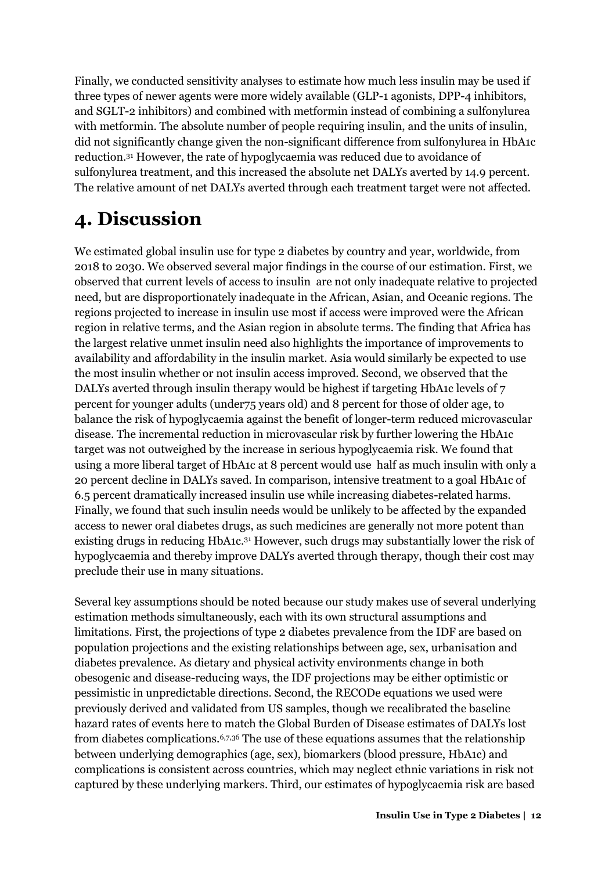Finally, we conducted sensitivity analyses to estimate how much less insulin may be used if three types of newer agents were more widely available (GLP-1 agonists, DPP-4 inhibitors, and SGLT-2 inhibitors) and combined with metformin instead of combining a sulfonylurea with metformin. The absolute number of people requiring insulin, and the units of insulin, did not significantly change given the non-significant difference from sulfonylurea in HbA1c reduction.31 However, the rate of hypoglycaemia was reduced due to avoidance of sulfonylurea treatment, and this increased the absolute net DALYs averted by 14.9 percent. The relative amount of net DALYs averted through each treatment target were not affected.

## <span id="page-12-0"></span>**4. Discussion**

We estimated global insulin use for type 2 diabetes by country and year, worldwide, from 2018 to 2030. We observed several major findings in the course of our estimation. First, we observed that current levels of access to insulin are not only inadequate relative to projected need, but are disproportionately inadequate in the African, Asian, and Oceanic regions. The regions projected to increase in insulin use most if access were improved were the African region in relative terms, and the Asian region in absolute terms. The finding that Africa has the largest relative unmet insulin need also highlights the importance of improvements to availability and affordability in the insulin market. Asia would similarly be expected to use the most insulin whether or not insulin access improved. Second, we observed that the DALYs averted through insulin therapy would be highest if targeting HbA1c levels of 7 percent for younger adults (under75 years old) and 8 percent for those of older age, to balance the risk of hypoglycaemia against the benefit of longer-term reduced microvascular disease. The incremental reduction in microvascular risk by further lowering the HbA1c target was not outweighed by the increase in serious hypoglycaemia risk. We found that using a more liberal target of HbA1c at 8 percent would use half as much insulin with only a 20 percent decline in DALYs saved. In comparison, intensive treatment to a goal HbA1c of 6.5 percent dramatically increased insulin use while increasing diabetes-related harms. Finally, we found that such insulin needs would be unlikely to be affected by the expanded access to newer oral diabetes drugs, as such medicines are generally not more potent than existing drugs in reducing HbA1c.31 However, such drugs may substantially lower the risk of hypoglycaemia and thereby improve DALYs averted through therapy, though their cost may preclude their use in many situations.

Several key assumptions should be noted because our study makes use of several underlying estimation methods simultaneously, each with its own structural assumptions and limitations. First, the projections of type 2 diabetes prevalence from the IDF are based on population projections and the existing relationships between age, sex, urbanisation and diabetes prevalence. As dietary and physical activity environments change in both obesogenic and disease-reducing ways, the IDF projections may be either optimistic or pessimistic in unpredictable directions. Second, the RECODe equations we used were previously derived and validated from US samples, though we recalibrated the baseline hazard rates of events here to match the Global Burden of Disease estimates of DALYs lost from diabetes complications.6,7,36 The use of these equations assumes that the relationship between underlying demographics (age, sex), biomarkers (blood pressure, HbA1c) and complications is consistent across countries, which may neglect ethnic variations in risk not captured by these underlying markers. Third, our estimates of hypoglycaemia risk are based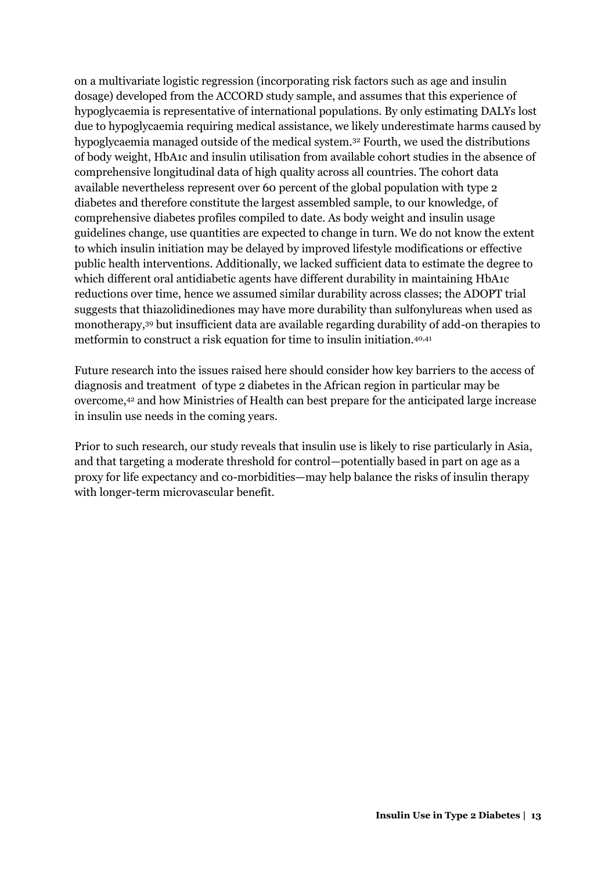on a multivariate logistic regression (incorporating risk factors such as age and insulin dosage) developed from the ACCORD study sample, and assumes that this experience of hypoglycaemia is representative of international populations. By only estimating DALYs lost due to hypoglycaemia requiring medical assistance, we likely underestimate harms caused by hypoglycaemia managed outside of the medical system.32 Fourth, we used the distributions of body weight, HbA1c and insulin utilisation from available cohort studies in the absence of comprehensive longitudinal data of high quality across all countries. The cohort data available nevertheless represent over 60 percent of the global population with type 2 diabetes and therefore constitute the largest assembled sample, to our knowledge, of comprehensive diabetes profiles compiled to date. As body weight and insulin usage guidelines change, use quantities are expected to change in turn. We do not know the extent to which insulin initiation may be delayed by improved lifestyle modifications or effective public health interventions. Additionally, we lacked sufficient data to estimate the degree to which different oral antidiabetic agents have different durability in maintaining HbA1c reductions over time, hence we assumed similar durability across classes; the ADOPT trial suggests that thiazolidinediones may have more durability than sulfonylureas when used as monotherapy,39 but insufficient data are available regarding durability of add-on therapies to metformin to construct a risk equation for time to insulin initiation.40,41

Future research into the issues raised here should consider how key barriers to the access of diagnosis and treatment of type 2 diabetes in the African region in particular may be overcome,42 and how Ministries of Health can best prepare for the anticipated large increase in insulin use needs in the coming years.

Prior to such research, our study reveals that insulin use is likely to rise particularly in Asia, and that targeting a moderate threshold for control—potentially based in part on age as a proxy for life expectancy and co-morbidities—may help balance the risks of insulin therapy with longer-term microvascular benefit.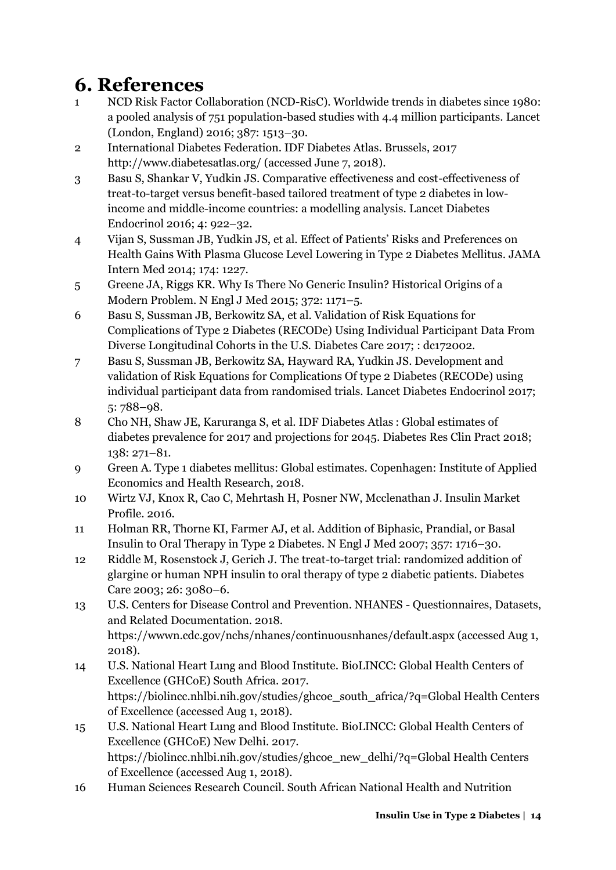## <span id="page-14-0"></span>**6. References**

- 1 NCD Risk Factor Collaboration (NCD-RisC). Worldwide trends in diabetes since 1980: a pooled analysis of 751 population-based studies with 4.4 million participants. Lancet (London, England) 2016; 387: 1513–30.
- 2 International Diabetes Federation. IDF Diabetes Atlas. Brussels, 2017 http://www.diabetesatlas.org/ (accessed June 7, 2018).
- 3 Basu S, Shankar V, Yudkin JS. Comparative effectiveness and cost-effectiveness of treat-to-target versus benefit-based tailored treatment of type 2 diabetes in lowincome and middle-income countries: a modelling analysis. Lancet Diabetes Endocrinol 2016; 4: 922–32.
- 4 Vijan S, Sussman JB, Yudkin JS, et al. Effect of Patients' Risks and Preferences on Health Gains With Plasma Glucose Level Lowering in Type 2 Diabetes Mellitus. JAMA Intern Med 2014; 174: 1227.
- 5 Greene JA, Riggs KR. Why Is There No Generic Insulin? Historical Origins of a Modern Problem. N Engl J Med 2015; 372: 1171–5.
- 6 Basu S, Sussman JB, Berkowitz SA, et al. Validation of Risk Equations for Complications of Type 2 Diabetes (RECODe) Using Individual Participant Data From Diverse Longitudinal Cohorts in the U.S. Diabetes Care 2017; : dc172002.
- 7 Basu S, Sussman JB, Berkowitz SA, Hayward RA, Yudkin JS. Development and validation of Risk Equations for Complications Of type 2 Diabetes (RECODe) using individual participant data from randomised trials. Lancet Diabetes Endocrinol 2017; 5: 788–98.
- 8 Cho NH, Shaw JE, Karuranga S, et al. IDF Diabetes Atlas : Global estimates of diabetes prevalence for 2017 and projections for 2045. Diabetes Res Clin Pract 2018; 138: 271–81.
- 9 Green A. Type 1 diabetes mellitus: Global estimates. Copenhagen: Institute of Applied Economics and Health Research, 2018.
- 10 Wirtz VJ, Knox R, Cao C, Mehrtash H, Posner NW, Mcclenathan J. Insulin Market Profile. 2016.
- 11 Holman RR, Thorne KI, Farmer AJ, et al. Addition of Biphasic, Prandial, or Basal Insulin to Oral Therapy in Type 2 Diabetes. N Engl J Med 2007; 357: 1716–30.
- 12 Riddle M, Rosenstock J, Gerich J. The treat-to-target trial: randomized addition of glargine or human NPH insulin to oral therapy of type 2 diabetic patients. Diabetes Care 2003; 26: 3080–6.
- 13 U.S. Centers for Disease Control and Prevention. NHANES Questionnaires, Datasets, and Related Documentation. 2018. https://wwwn.cdc.gov/nchs/nhanes/continuousnhanes/default.aspx (accessed Aug 1, 2018).
- 14 U.S. National Heart Lung and Blood Institute. BioLINCC: Global Health Centers of Excellence (GHCoE) South Africa. 2017. https://biolincc.nhlbi.nih.gov/studies/ghcoe\_south\_africa/?q=Global Health Centers of Excellence (accessed Aug 1, 2018).
- 15 U.S. National Heart Lung and Blood Institute. BioLINCC: Global Health Centers of Excellence (GHCoE) New Delhi. 2017. https://biolincc.nhlbi.nih.gov/studies/ghcoe\_new\_delhi/?q=Global Health Centers of Excellence (accessed Aug 1, 2018).
- 16 Human Sciences Research Council. South African National Health and Nutrition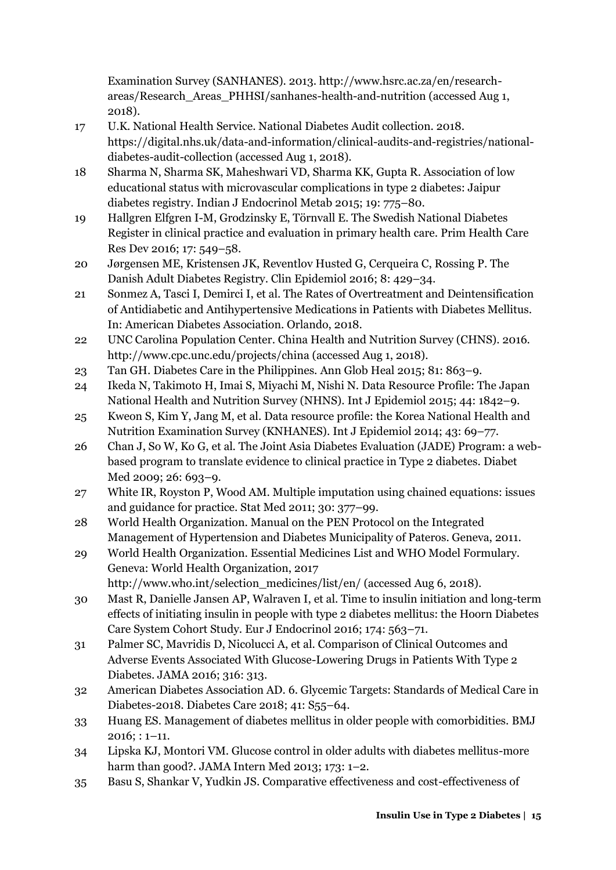Examination Survey (SANHANES). 2013. http://www.hsrc.ac.za/en/researchareas/Research\_Areas\_PHHSI/sanhanes-health-and-nutrition (accessed Aug 1, 2018).

- 17 U.K. National Health Service. National Diabetes Audit collection. 2018. https://digital.nhs.uk/data-and-information/clinical-audits-and-registries/nationaldiabetes-audit-collection (accessed Aug 1, 2018).
- 18 Sharma N, Sharma SK, Maheshwari VD, Sharma KK, Gupta R. Association of low educational status with microvascular complications in type 2 diabetes: Jaipur diabetes registry. Indian J Endocrinol Metab 2015; 19: 775–80.
- 19 Hallgren Elfgren I-M, Grodzinsky E, Törnvall E. The Swedish National Diabetes Register in clinical practice and evaluation in primary health care. Prim Health Care Res Dev 2016; 17: 549–58.
- 20 Jørgensen ME, Kristensen JK, Reventlov Husted G, Cerqueira C, Rossing P. The Danish Adult Diabetes Registry. Clin Epidemiol 2016; 8: 429–34.
- 21 Sonmez A, Tasci I, Demirci I, et al. The Rates of Overtreatment and Deintensification of Antidiabetic and Antihypertensive Medications in Patients with Diabetes Mellitus. In: American Diabetes Association. Orlando, 2018.
- 22 UNC Carolina Population Center. China Health and Nutrition Survey (CHNS). 2016. http://www.cpc.unc.edu/projects/china (accessed Aug 1, 2018).
- 23 Tan GH. Diabetes Care in the Philippines. Ann Glob Heal 2015; 81: 863–9.
- 24 Ikeda N, Takimoto H, Imai S, Miyachi M, Nishi N. Data Resource Profile: The Japan National Health and Nutrition Survey (NHNS). Int J Epidemiol 2015; 44: 1842–9.
- 25 Kweon S, Kim Y, Jang M, et al. Data resource profile: the Korea National Health and Nutrition Examination Survey (KNHANES). Int J Epidemiol 2014; 43: 69–77.
- 26 Chan J, So W, Ko G, et al. The Joint Asia Diabetes Evaluation (JADE) Program: a webbased program to translate evidence to clinical practice in Type 2 diabetes. Diabet Med 2009; 26: 693–9.
- 27 White IR, Royston P, Wood AM. Multiple imputation using chained equations: issues and guidance for practice. Stat Med 2011; 30: 377–99.
- 28 World Health Organization. Manual on the PEN Protocol on the Integrated Management of Hypertension and Diabetes Municipality of Pateros. Geneva, 2011.
- 29 World Health Organization. Essential Medicines List and WHO Model Formulary. Geneva: World Health Organization, 2017 http://www.who.int/selection\_medicines/list/en/ (accessed Aug 6, 2018).
- 30 Mast R, Danielle Jansen AP, Walraven I, et al. Time to insulin initiation and long-term effects of initiating insulin in people with type 2 diabetes mellitus: the Hoorn Diabetes Care System Cohort Study. Eur J Endocrinol 2016; 174: 563–71.
- 31 Palmer SC, Mavridis D, Nicolucci A, et al. Comparison of Clinical Outcomes and Adverse Events Associated With Glucose-Lowering Drugs in Patients With Type 2 Diabetes. JAMA 2016; 316: 313.
- 32 American Diabetes Association AD. 6. Glycemic Targets: Standards of Medical Care in Diabetes-2018. Diabetes Care 2018; 41: S55–64.
- 33 Huang ES. Management of diabetes mellitus in older people with comorbidities. BMJ 2016; : 1–11.
- 34 Lipska KJ, Montori VM. Glucose control in older adults with diabetes mellitus-more harm than good?. JAMA Intern Med 2013; 173: 1–2.
- 35 Basu S, Shankar V, Yudkin JS. Comparative effectiveness and cost-effectiveness of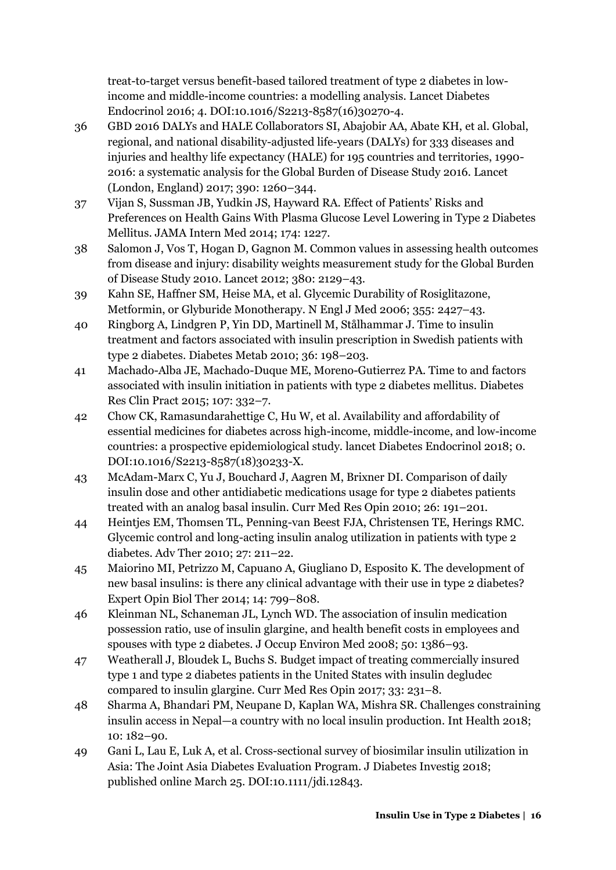treat-to-target versus benefit-based tailored treatment of type 2 diabetes in lowincome and middle-income countries: a modelling analysis. Lancet Diabetes Endocrinol 2016; 4. DOI:10.1016/S2213-8587(16)30270-4.

- 36 GBD 2016 DALYs and HALE Collaborators SI, Abajobir AA, Abate KH, et al. Global, regional, and national disability-adjusted life-years (DALYs) for 333 diseases and injuries and healthy life expectancy (HALE) for 195 countries and territories, 1990- 2016: a systematic analysis for the Global Burden of Disease Study 2016. Lancet (London, England) 2017; 390: 1260–344.
- 37 Vijan S, Sussman JB, Yudkin JS, Hayward RA. Effect of Patients' Risks and Preferences on Health Gains With Plasma Glucose Level Lowering in Type 2 Diabetes Mellitus. JAMA Intern Med 2014; 174: 1227.
- 38 Salomon J, Vos T, Hogan D, Gagnon M. Common values in assessing health outcomes from disease and injury: disability weights measurement study for the Global Burden of Disease Study 2010. Lancet 2012; 380: 2129–43.
- 39 Kahn SE, Haffner SM, Heise MA, et al. Glycemic Durability of Rosiglitazone, Metformin, or Glyburide Monotherapy. N Engl J Med 2006; 355: 2427–43.
- 40 Ringborg A, Lindgren P, Yin DD, Martinell M, Stålhammar J. Time to insulin treatment and factors associated with insulin prescription in Swedish patients with type 2 diabetes. Diabetes Metab 2010; 36: 198–203.
- 41 Machado-Alba JE, Machado-Duque ME, Moreno-Gutierrez PA. Time to and factors associated with insulin initiation in patients with type 2 diabetes mellitus. Diabetes Res Clin Pract 2015; 107: 332–7.
- 42 Chow CK, Ramasundarahettige C, Hu W, et al. Availability and affordability of essential medicines for diabetes across high-income, middle-income, and low-income countries: a prospective epidemiological study. lancet Diabetes Endocrinol 2018; 0. DOI:10.1016/S2213-8587(18)30233-X.
- 43 McAdam-Marx C, Yu J, Bouchard J, Aagren M, Brixner DI. Comparison of daily insulin dose and other antidiabetic medications usage for type 2 diabetes patients treated with an analog basal insulin. Curr Med Res Opin 2010; 26: 191–201.
- 44 Heintjes EM, Thomsen TL, Penning-van Beest FJA, Christensen TE, Herings RMC. Glycemic control and long-acting insulin analog utilization in patients with type 2 diabetes. Adv Ther 2010; 27: 211–22.
- 45 Maiorino MI, Petrizzo M, Capuano A, Giugliano D, Esposito K. The development of new basal insulins: is there any clinical advantage with their use in type 2 diabetes? Expert Opin Biol Ther 2014; 14: 799–808.
- 46 Kleinman NL, Schaneman JL, Lynch WD. The association of insulin medication possession ratio, use of insulin glargine, and health benefit costs in employees and spouses with type 2 diabetes. J Occup Environ Med 2008; 50: 1386–93.
- 47 Weatherall J, Bloudek L, Buchs S. Budget impact of treating commercially insured type 1 and type 2 diabetes patients in the United States with insulin degludec compared to insulin glargine. Curr Med Res Opin 2017; 33: 231–8.
- 48 Sharma A, Bhandari PM, Neupane D, Kaplan WA, Mishra SR. Challenges constraining insulin access in Nepal—a country with no local insulin production. Int Health 2018; 10: 182–90.
- 49 Gani L, Lau E, Luk A, et al. Cross-sectional survey of biosimilar insulin utilization in Asia: The Joint Asia Diabetes Evaluation Program. J Diabetes Investig 2018; published online March 25. DOI:10.1111/jdi.12843.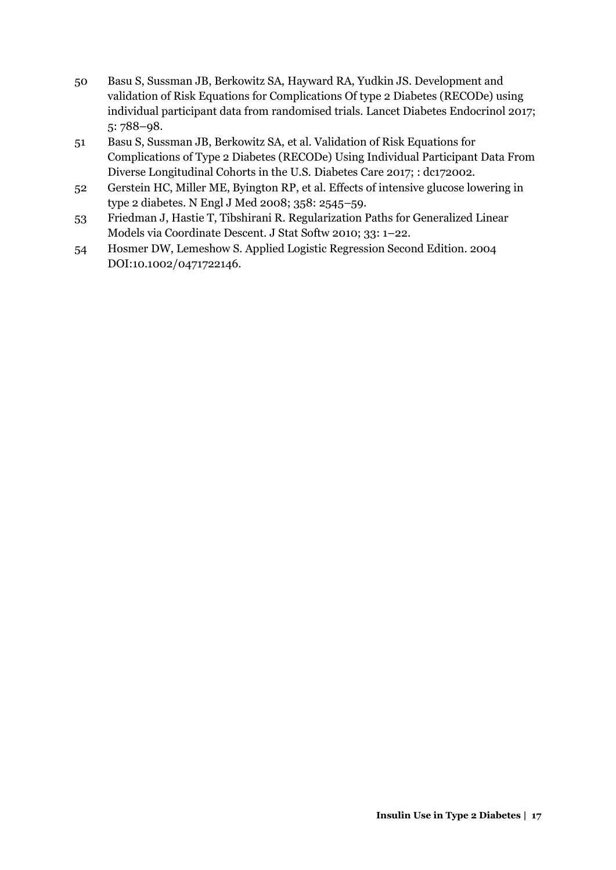- 50 Basu S, Sussman JB, Berkowitz SA, Hayward RA, Yudkin JS. Development and validation of Risk Equations for Complications Of type 2 Diabetes (RECODe) using individual participant data from randomised trials. Lancet Diabetes Endocrinol 2017; 5: 788–98.
- 51 Basu S, Sussman JB, Berkowitz SA, et al. Validation of Risk Equations for Complications of Type 2 Diabetes (RECODe) Using Individual Participant Data From Diverse Longitudinal Cohorts in the U.S. Diabetes Care 2017; : dc172002.
- 52 Gerstein HC, Miller ME, Byington RP, et al. Effects of intensive glucose lowering in type 2 diabetes. N Engl J Med 2008; 358: 2545–59.
- 53 Friedman J, Hastie T, Tibshirani R. Regularization Paths for Generalized Linear Models via Coordinate Descent. J Stat Softw 2010; 33: 1–22.
- 54 Hosmer DW, Lemeshow S. Applied Logistic Regression Second Edition. 2004 DOI:10.1002/0471722146.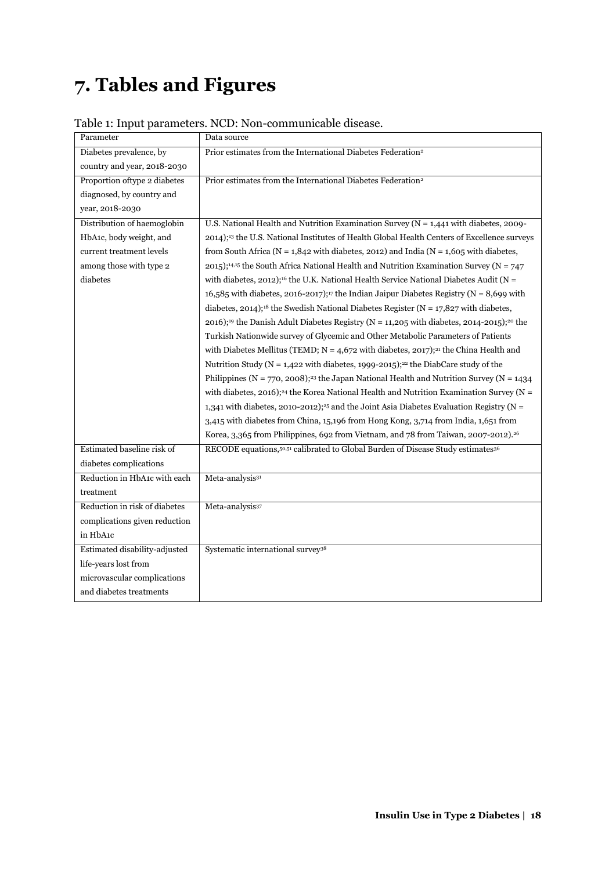## <span id="page-18-0"></span>**7. Tables and Figures**

| Parameter                     | Data source                                                                                                         |
|-------------------------------|---------------------------------------------------------------------------------------------------------------------|
| Diabetes prevalence, by       | Prior estimates from the International Diabetes Federation <sup>2</sup>                                             |
| country and year, 2018-2030   |                                                                                                                     |
| Proportion of type 2 diabetes | Prior estimates from the International Diabetes Federation <sup>2</sup>                                             |
| diagnosed, by country and     |                                                                                                                     |
| year, 2018-2030               |                                                                                                                     |
| Distribution of haemoglobin   | U.S. National Health and Nutrition Examination Survey ( $N = 1,441$ with diabetes, 2009-                            |
| HbA1c, body weight, and       | 2014); <sup>13</sup> the U.S. National Institutes of Health Global Health Centers of Excellence surveys             |
| current treatment levels      | from South Africa ( $N = 1,842$ with diabetes, 2012) and India ( $N = 1,605$ with diabetes,                         |
| among those with type 2       | 2015); <sup>14,15</sup> the South Africa National Health and Nutrition Examination Survey (N = 747                  |
| diabetes                      | with diabetes, 2012); <sup>16</sup> the U.K. National Health Service National Diabetes Audit (N =                   |
|                               | 16,585 with diabetes, 2016-2017); <sup>17</sup> the Indian Jaipur Diabetes Registry (N = 8,699 with                 |
|                               | diabetes, 2014); <sup>18</sup> the Swedish National Diabetes Register (N = 17,827 with diabetes,                    |
|                               | 2016); <sup>19</sup> the Danish Adult Diabetes Registry ( $N = 11,205$ with diabetes, 2014-2015); <sup>20</sup> the |
|                               | Turkish Nationwide survey of Glycemic and Other Metabolic Parameters of Patients                                    |
|                               | with Diabetes Mellitus (TEMD; $N = 4.672$ with diabetes, 2017); <sup>21</sup> the China Health and                  |
|                               | Nutrition Study ( $N = 1,422$ with diabetes, 1999-2015); <sup>22</sup> the DiabCare study of the                    |
|                               | Philippines (N = 770, 2008); <sup>23</sup> the Japan National Health and Nutrition Survey (N = 1434                 |
|                               | with diabetes, 2016); <sup>24</sup> the Korea National Health and Nutrition Examination Survey (N =                 |
|                               | 1,341 with diabetes, 2010-2012); <sup>25</sup> and the Joint Asia Diabetes Evaluation Registry ( $N =$              |
|                               | 3,415 with diabetes from China, 15,196 from Hong Kong, 3,714 from India, 1,651 from                                 |
|                               | Korea, 3,365 from Philippines, 692 from Vietnam, and 78 from Taiwan, 2007-2012). <sup>26</sup>                      |
| Estimated baseline risk of    | RECODE equations, 50,51 calibrated to Global Burden of Disease Study estimates 36                                   |
| diabetes complications        |                                                                                                                     |
| Reduction in HbA1c with each  | Meta-analysis <sup>31</sup>                                                                                         |
| treatment                     |                                                                                                                     |
| Reduction in risk of diabetes | Meta-analysis <sup>37</sup>                                                                                         |
| complications given reduction |                                                                                                                     |
| in HbA1c                      |                                                                                                                     |
| Estimated disability-adjusted | Systematic international survey <sup>38</sup>                                                                       |
| life-years lost from          |                                                                                                                     |
| microvascular complications   |                                                                                                                     |
| and diabetes treatments       |                                                                                                                     |
|                               |                                                                                                                     |

### Table 1: Input parameters. NCD: Non-communicable disease.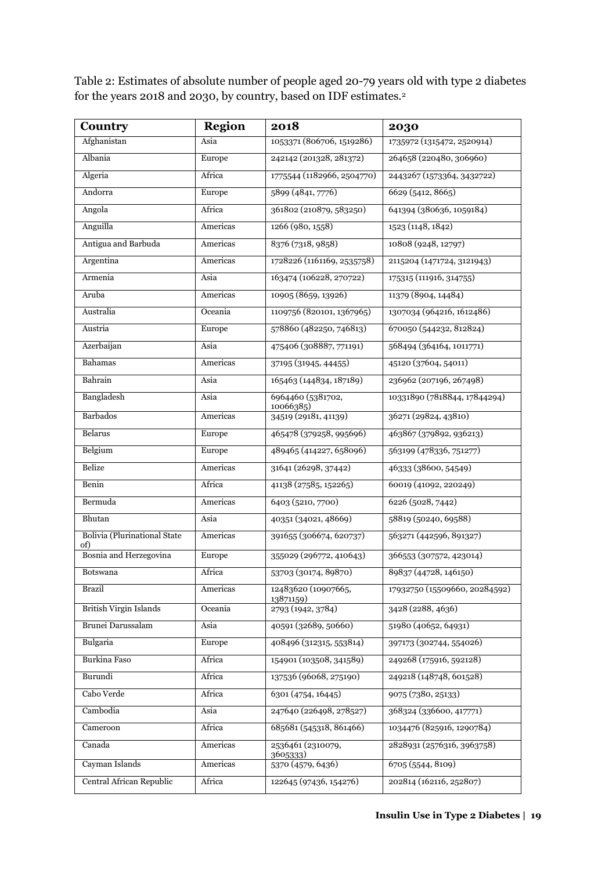Table 2: Estimates of absolute number of people aged 20-79 years old with type 2 diabetes for the years 2018 and 2030, by country, based on IDF estimates.<sup>2</sup>

| Country                                    | <b>Region</b> | 2018                             | 2030                          |
|--------------------------------------------|---------------|----------------------------------|-------------------------------|
| Afghanistan                                | Asia          | 1053371 (806706, 1519286)        | 1735972 (1315472, 2520914)    |
| Albania                                    | Europe        | 242142 (201328, 281372)          | 264658 (220480, 306960)       |
| Algeria                                    | Africa        | 1775544 (1182966, 2504770)       | 2443267 (1573364, 3432722)    |
| Andorra                                    | Europe        | 5899 (4841, 7776)                | 6629 (5412, 8665)             |
| Angola                                     | Africa        | 361802 (210879, 583250)          | 641394 (380636, 1059184)      |
| Anguilla                                   | Americas      | 1266 (980, 1558)                 | 1523 (1148, 1842)             |
| Antigua and Barbuda                        | Americas      | 8376 (7318, 9858)                | 10808 (9248, 12797)           |
| Argentina                                  | Americas      | 1728226 (1161169, 2535758)       | 2115204 (1471724, 3121943)    |
| Armenia                                    | Asia          | 163474 (106228, 270722)          | 175315 (111916, 314755)       |
| Aruba                                      | Americas      | 10905 (8659, 13926)              | 11379 (8904, 14484)           |
| Australia                                  | Oceania       | 1109756 (820101, 1367965)        | 1307034 (964216, 1612486)     |
| Austria                                    | Europe        | 578860 (482250, 746813)          | 670050 (544232, 812824)       |
| Azerbaijan                                 | Asia          | 475406 (308887, 771191)          | 568494 (364164, 1011771)      |
| Bahamas                                    | Americas      | 37195 (31945, 44455)             | 45120 (37604, 54011)          |
| Bahrain                                    | Asia          | 165463 (144834, 187189)          | 236962 (207196, 267498)       |
| Bangladesh                                 | Asia          | 6964460 (5381702,<br>10066385)   | 10331890 (7818844, 17844294)  |
| <b>Barbados</b>                            | Americas      | 34519 (29181, 41139)             | 36271 (29824, 43810)          |
| Belarus                                    | Europe        | 465478 (379258, 995696)          | 463867 (379892, 936213)       |
| Belgium                                    | Europe        | 489465 (414227, 658096)          | 563199 (478336, 751277)       |
| Belize                                     | Americas      | 31641 (26298, 37442)             | 46333 (38600, 54549)          |
| Benin                                      | Africa        | 41138 (27585, 152265)            | 60019 (41092, 220249)         |
| Bermuda                                    | Americas      | 6403 (5210, 7700)                | 6226 (5028, 7442)             |
| Bhutan                                     | Asia          | 40351 (34021, 48669)             | 58819 (50240, 69588)          |
| <b>Bolivia</b> (Plurinational State<br>of) | Americas      | 391655 (306674, 620737)          | 563271 (442596, 891327)       |
| Bosnia and Herzegovina                     | Europe        | 355029 (296772, 410643)          | 366553 (307572, 423014)       |
| Botswana                                   | Africa        | 53703 (30174, 89870)             | 89837 (44728, 146150)         |
| Brazil                                     | Americas      | 12483620 (10907665,<br>13871159) | 17932750 (15509660, 20284592) |
| <b>British Virgin Islands</b>              | Oceania       | 2793 (1942, 3784)                | 3428 (2288, 4636)             |
| Brunei Darussalam                          | Asia          | 40591 (32689, 50660)             | 51980 (40652, 64931)          |
| Bulgaria                                   | Europe        | 408496 (312315, 553814)          | 397173 (302744, 554026)       |
| Burkina Faso                               | Africa        | 154901 (103508, 341589)          | 249268 (175916, 592128)       |
| Burundi                                    | Africa        | 137536 (96068, 275190)           | 249218 (148748, 601528)       |
| Cabo Verde                                 | Africa        | 6301 (4754, 16445)               | 9075 (7380, 25133)            |
| Cambodia                                   | Asia          | 247640 (226498, 278527)          | 368324 (336600, 417771)       |
| Cameroon                                   | Africa        | 685681 (545318, 861466)          | 1034476 (825916, 1290784)     |
| Canada                                     | Americas      | 2536461 (2310079,<br>3605333)    | 2828931 (2576316, 3963758)    |
| Cayman Islands                             | Americas      | 5370 (4579, 6436)                | 6705 (5544, 8109)             |
| Central African Republic                   | Africa        | 122645 (97436, 154276)           | 202814 (162116, 252807)       |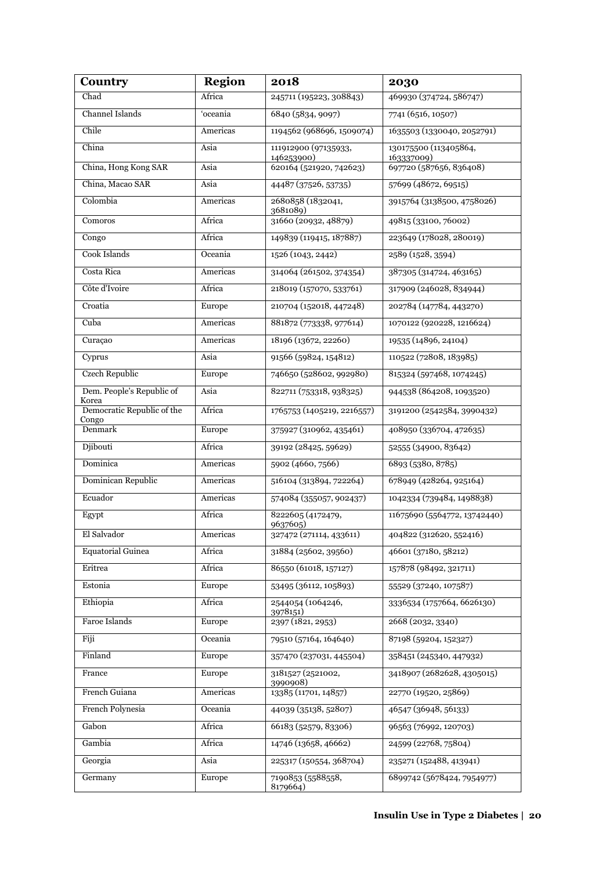| Country                             | <b>Region</b> | 2018                               | 2030                                |
|-------------------------------------|---------------|------------------------------------|-------------------------------------|
| Chad                                | Africa        | 245711 (195223, 308843)            | 469930 (374724, 586747)             |
| Channel Islands                     | 'oceania      | 6840 (5834, 9097)                  | 7741 (6516, 10507)                  |
| Chile                               | Americas      | 1194562 (968696, 1509074)          | 1635503 (1330040, 2052791)          |
| China                               | Asia          | 111912900 (97135933,<br>146253900) | 130175500 (113405864,<br>163337009) |
| China, Hong Kong SAR                | Asia          | 620164 (521920, 742623)            | 697720 (587656, 836408)             |
| China, Macao SAR                    | Asia          | 44487 (37526, 53735)               | 57699 (48672, 69515)                |
| Colombia                            | Americas      | 2680858 (1832041,<br>3681089)      | 3915764 (3138500, 4758026)          |
| Comoros                             | Africa        | 31660 (20932, 48879)               | 49815 (33100, 76002)                |
| Congo                               | Africa        | 149839 (119415, 187887)            | 223649 (178028, 280019)             |
| Cook Islands                        | Oceania       | 1526 (1043, 2442)                  | 2589 (1528, 3594)                   |
| Costa Rica                          | Americas      | 314064 (261502, 374354)            | 387305 (314724, 463165)             |
| Côte d'Ivoire                       | Africa        | 218019 (157070, 533761)            | 317909 (246028, 834944)             |
| Croatia                             | Europe        | 210704 (152018, 447248)            | 202784 (147784, 443270)             |
| Cuba                                | Americas      | 881872 (773338, 977614)            | 1070122 (920228, 1216624)           |
| Curaçao                             | Americas      | 18196 (13672, 22260)               | 19535 (14896, 24104)                |
| Cyprus                              | Asia          | 91566 (59824, 154812)              | 110522 (72808, 183985)              |
| <b>Czech Republic</b>               | Europe        | 746650 (528602, 992980)            | 815324 (597468, 1074245)            |
| Dem. People's Republic of<br>Korea  | Asia          | 822711 (753318, 938325)            | 944538 (864208, 1093520)            |
| Democratic Republic of the<br>Congo | Africa        | 1765753 (1405219, 2216557)         | 3191200 (2542584, 3990432)          |
| Denmark                             | Europe        | 375927 (310962, 435461)            | 408950 (336704, 472635)             |
| Djibouti                            | Africa        | 39192 (28425, 59629)               | 52555 (34900, 83642)                |
| Dominica                            | Americas      | 5902 (4660, 7566)                  | 6893 (5380, 8785)                   |
| Dominican Republic                  | Americas      | 516104 (313894, 722264)            | 678949 (428264, 925164)             |
| Ecuador                             | Americas      | 574084 (355057, 902437)            | 1042334 (739484, 1498838)           |
| Egypt                               | Africa        | 8222605 (4172479,<br>9637605)      | 11675690 (5564772, 13742440)        |
| El Salvador                         | Americas      | 327472 (271114, 433611)            | 404822 (312620, 552416)             |
| <b>Equatorial Guinea</b>            | Africa        | 31884 (25602, 39560)               | 46601 (37180, 58212)                |
| Eritrea                             | Africa        | 86550 (61018, 157127)              | 157878 (98492, 321711)              |
| Estonia                             | Europe        | 53495 (36112, 105893)              | 55529 (37240, 107587)               |
| Ethiopia                            | Africa        | 2544054 (1064246,<br>3978151)      | 3336534 (1757664, 6626130)          |
| Faroe Islands                       | Europe        | 2397 (1821, 2953)                  | 2668 (2032, 3340)                   |
| Fiji                                | Oceania       | 79510 (57164, 164640)              | 87198 (59204, 152327)               |
| Finland                             | Europe        | 357470 (237031, 445504)            | 358451 (245340, 447932)             |
| France                              | Europe        | 3181527 (2521002,<br>3990908)      | 3418907 (2682628, 4305015)          |
| French Guiana                       | Americas      | 13385 (11701, 14857)               | 22770 (19520, 25869)                |
| French Polynesia                    | Oceania       | 44039 (35138, 52807)               | 46547 (36948, 56133)                |
| Gabon                               | Africa        | 66183 (52579, 83306)               | 96563 (76992, 120703)               |
| Gambia                              | Africa        | 14746 (13658, 46662)               | 24599 (22768, 75804)                |
| Georgia                             | Asia          | 225317 (150554, 368704)            | 235271 (152488, 413941)             |
| Germany                             | Europe        | 7190853 (5588558,<br>8179664)      | 6899742 (5678424, 7954977)          |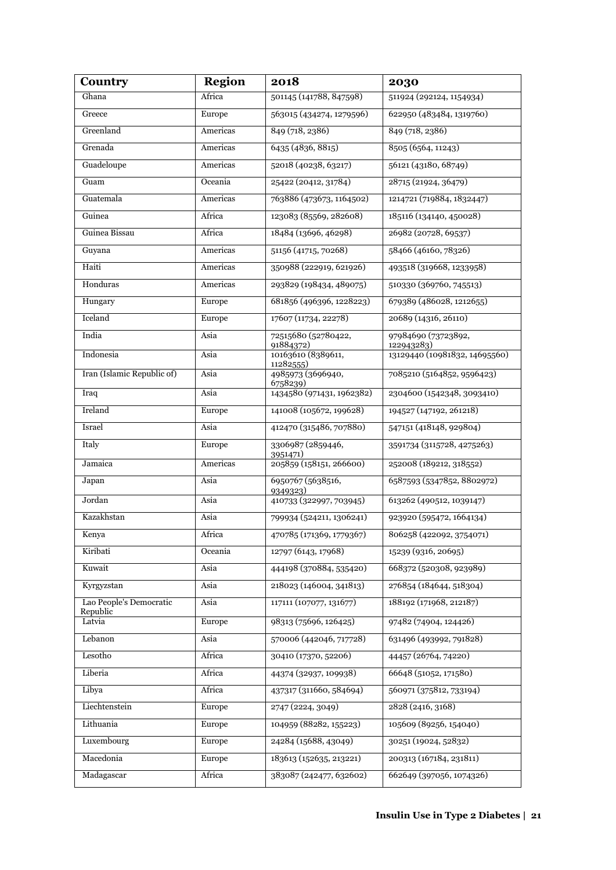| Country                    | <b>Region</b> | 2018                                                        | 2030                                        |
|----------------------------|---------------|-------------------------------------------------------------|---------------------------------------------|
| Ghana                      | Africa        | 501145 (141788, 847598)                                     | 511924 (292124, 1154934)                    |
| Greece                     | Europe        | 563015 (434274, 1279596)                                    | 622950 (483484, 1319760)                    |
| Greenland                  | Americas      | 849 (718, 2386)                                             | 849 (718, 2386)                             |
| Grenada                    | Americas      | 6435 (4836, 8815)                                           | 8505 (6564, 11243)                          |
| Guadeloupe                 | Americas      | 52018 (40238, 63217)                                        | 56121 (43180, 68749)                        |
| Guam                       | Oceania       | 25422 (20412, 31784)                                        | 28715 (21924, 36479)                        |
| Guatemala                  | Americas      | 763886 (473673, 1164502)                                    | 1214721 (719884, 1832447)                   |
| Guinea                     | Africa        | 123083 (85569, 282608)                                      | 185116 (134140, 450028)                     |
| Guinea Bissau              | Africa        | 18484 (13696, 46298)                                        | 26982 (20728, 69537)                        |
| Guyana                     | Americas      | 51156 (41715, 70268)                                        | 58466 (46160, 78326)                        |
| Haiti                      | Americas      | 350988 (222919, 621926)                                     | 493518 (319668, 1233958)                    |
| Honduras                   | Americas      | 293829 (198434, 489075)                                     | 510330 (369760, 745513)                     |
| Hungary                    | Europe        | 681856 (496396, 1228223)                                    | 679389 (486028, 1212655)                    |
| Iceland                    | Europe        | 17607 (11734, 22278)                                        | 20689 (14316, 26110)                        |
| India                      | Asia          | 72515680 (52780422,<br>91884372)                            | 97984690 (73723892,                         |
| Indonesia                  | Asia          | 10163610 (8389611,                                          | 122943283)<br>13129440 (10981832, 14695560) |
| Iran (Islamic Republic of) | Asia          | 11282555)<br>4985973 (3696940,<br>6758239)                  | 7085210 (5164852, 9596423)                  |
| Iraq                       | Asia          | 1434580 (971431, 1962382)                                   | 2304600 (1542348, 3093410)                  |
| Ireland                    | Europe        | 141008 (105672, 199628)                                     | 194527 (147192, 261218)                     |
| Israel                     | Asia          | 412470 (315486, 707880)                                     | 547151 (418148, 929804)                     |
| Italy                      | Europe        | 3306987 (2859446,<br>3951471)                               | 3591734 (3115728, 4275263)                  |
| Jamaica                    | Americas      | 205859 (158151, 266600)                                     | 252008 (189212, 318552)                     |
| Japan                      | Asia          | 6950767 (5638516,<br>6587593 (5347852, 8802972)<br>9349323) |                                             |
| Jordan                     | Asia          | 410733 (322997, 703945)<br>613262 (490512, 1039147)         |                                             |
| Kazakhstan                 | Asia          | 923920 (595472, 1664134)<br>799934 (524211, 1306241)        |                                             |
| Kenya                      | Africa        | 470785 (171369, 1779367)                                    | 806258 (422092, 3754071)                    |
| Kiribati                   | Oceania       | 12797 (6143, 17968)                                         | 15239 (9316, 20695)                         |
| Kuwait                     | Asia          | 444198 (370884, 535420)                                     | 668372 (520308, 923989)                     |
| Kyrgyzstan                 | Asia          | 218023 (146004, 341813)                                     | 276854 (184644, 518304)                     |
| Lao People's Democratic    | Asia          | 117111 (107077, 131677)                                     | 188192 (171968, 212187)                     |
| Republic<br>Latvia         | Europe        | 98313 (75696, 126425)                                       | 97482 (74904, 124426)                       |
| Lebanon                    | Asia          | 570006 (442046, 717728)                                     | 631496 (493992, 791828)                     |
| Lesotho                    | Africa        | 30410 (17370, 52206)                                        | 44457 (26764, 74220)                        |
| Liberia                    | Africa        | 44374 (32937, 109938)                                       | 66648 (51052, 171580)                       |
| Libya                      | Africa        | 437317 (311660, 584694)                                     | 560971 (375812, 733194)                     |
| Liechtenstein              | Europe        | 2747 (2224, 3049)                                           | 2828 (2416, 3168)                           |
| Lithuania                  | Europe        | 104959 (88282, 155223)                                      | 105609 (89256, 154040)                      |
| Luxembourg                 | Europe        | 24284 (15688, 43049)                                        | 30251 (19024, 52832)                        |
| Macedonia                  | Europe        | 183613 (152635, 213221)                                     | 200313 (167184, 231811)                     |
| Madagascar                 | Africa        | 383087 (242477, 632602)                                     | 662649 (397056, 1074326)                    |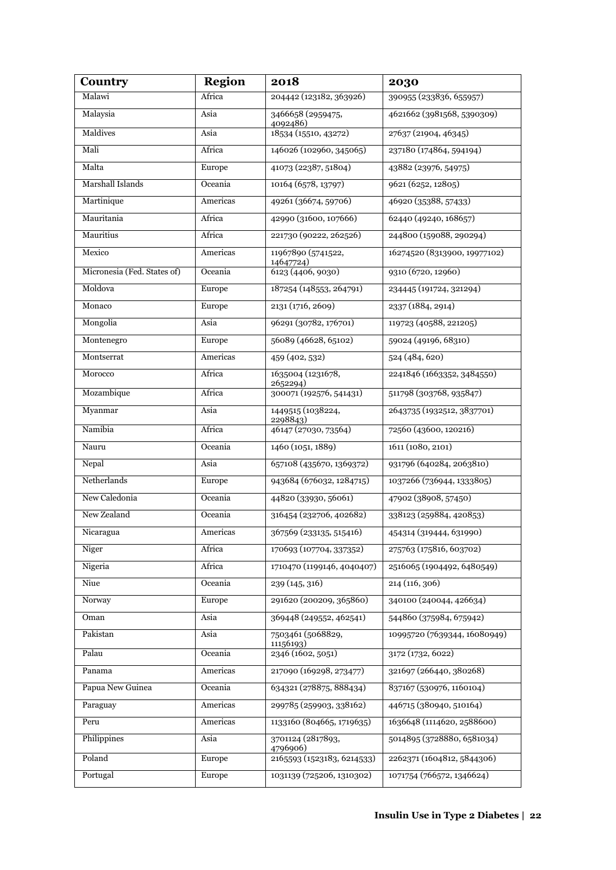| Country                     | <b>Region</b> | 2018                                                           | 2030                         |
|-----------------------------|---------------|----------------------------------------------------------------|------------------------------|
| Malawi                      | Africa        | 204442 (123182, 363926)                                        | 390955 (233836, 655957)      |
| Malaysia                    | Asia          | 3466658 (2959475,<br>4092486)                                  | 4621662 (3981568, 5390309)   |
| Maldives                    | Asia          | 18534 (15510, 43272)                                           | 27637 (21904, 46345)         |
| Mali                        | Africa        | 146026 (102960, 345065)                                        | 237180 (174864, 594194)      |
| Malta                       | Europe        | 41073 (22387, 51804)                                           | 43882 (23976, 54975)         |
| Marshall Islands            | Oceania       | 10164 (6578, 13797)                                            | 9621 (6252, 12805)           |
| Martinique                  | Americas      | 49261 (36674, 59706)                                           | 46920 (35388, 57433)         |
| Mauritania                  | Africa        | 42990 (31600, 107666)                                          | 62440 (49240, 168657)        |
| Mauritius                   | Africa        | 221730 (90222, 262526)                                         | 244800 (159088, 290294)      |
| Mexico                      | Americas      | 11967890 (5741522,<br>14647724)                                | 16274520 (8313900, 19977102) |
| Micronesia (Fed. States of) | Oceania       | 6123 (4406, 9030)                                              | 9310 (6720, 12960)           |
| Moldova                     | Europe        | 187254 (148553, 264791)                                        | 234445 (191724, 321294)      |
| Monaco                      | Europe        | 2131 (1716, 2609)                                              | 2337 (1884, 2914)            |
| Mongolia                    | Asia          | 96291 (30782, 176701)                                          | 119723 (40588, 221205)       |
| Montenegro                  | Europe        | 56089 (46628, 65102)                                           | 59024 (49196, 68310)         |
| Montserrat                  | Americas      | 459 (402, 532)                                                 | 524 (484, 620)               |
| Morocco                     | Africa        | 1635004 (1231678,<br>2652294)                                  | 2241846 (1663352, 3484550)   |
| Mozambique                  | Africa        | 300071 (192576, 541431)                                        | 511798 (303768, 935847)      |
| Myanmar                     | Asia          | 1449515 (1038224,<br>2298843)                                  | 2643735 (1932512, 3837701)   |
| Namibia                     | Africa        | 46147 (27030, 73564)                                           | 72560 (43600, 120216)        |
| Nauru                       | Oceania       | 1460 (1051, 1889)                                              | 1611 (1080, 2101)            |
| Nepal                       | Asia          | 657108 (435670, 1369372)                                       | 931796 (640284, 2063810)     |
| Netherlands                 | Europe        | 943684 (676032, 1284715)                                       | 1037266 (736944, 1333805)    |
| New Caledonia               | Oceania       | 44820 (33930, 56061)                                           | 47902 (38908, 57450)         |
| New Zealand                 | Oceania       | 338123 (259884, 420853)<br>316454 (232706, 402682)             |                              |
| Nicaragua                   | Americas      | 367569 (233135, 515416)                                        | 454314 (319444, 631990)      |
| Niger                       | Africa        | 170693 (107704, 337352)                                        | 275763 (175816, 603702)      |
| Nigeria                     | Africa        | 1710470 (1199146, 4040407)                                     | 2516065 (1904492, 6480549)   |
| Niue                        | Oceania       | 239 (145, 316)                                                 | 214(116, 306)                |
| Norway                      | Europe        | 291620 (200209, 365860)                                        | 340100 (240044, 426634)      |
| Oman                        | Asia          | 369448 (249552, 462541)                                        | 544860 (375984, 675942)      |
| Pakistan                    | Asia          | 7503461 (5068829,<br>10995720 (7639344, 16080949)<br>11156193) |                              |
| Palau                       | Oceania       | 2346 (1602, 5051)                                              | 3172 (1732, 6022)            |
| Panama                      | Americas      | 217090 (169298, 273477)                                        | 321697 (266440, 380268)      |
| Papua New Guinea            | Oceania       | 634321 (278875, 888434)                                        | 837167 (530976, 1160104)     |
| Paraguay                    | Americas      | 299785 (259903, 338162)                                        | 446715 (380940, 510164)      |
| Peru                        | Americas      | 1133160 (804665, 1719635)                                      | 1636648 (1114620, 2588600)   |
| Philippines                 | Asia          | 3701124 (2817893,<br>4796906)                                  | 5014895 (3728880, 6581034)   |
| Poland                      | Europe        | 2165593 (1523183, 6214533)                                     | 2262371 (1604812, 5844306)   |
| Portugal                    | Europe        | 1031139 (725206, 1310302)                                      | 1071754 (766572, 1346624)    |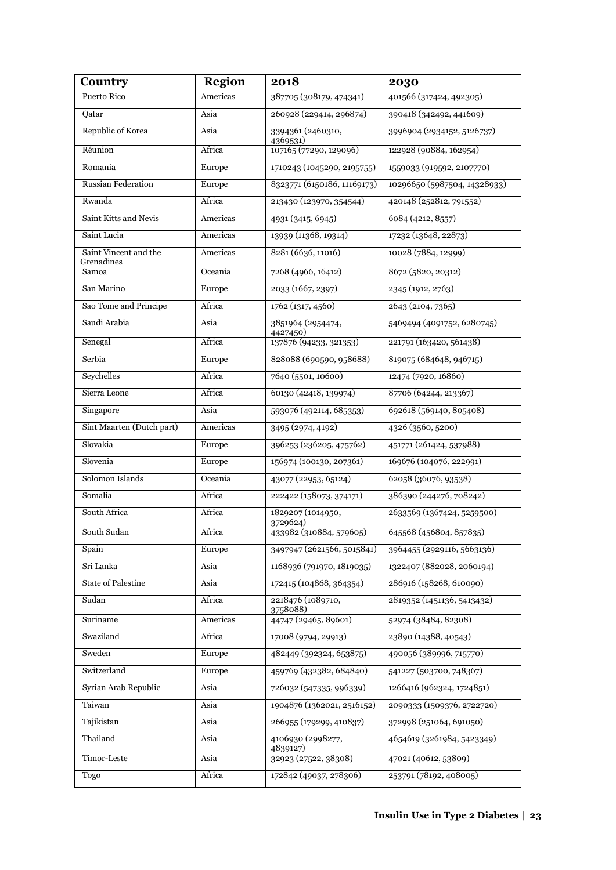| Country                             | <b>Region</b> | 2018                                                        | 2030                         |
|-------------------------------------|---------------|-------------------------------------------------------------|------------------------------|
| Puerto Rico                         | Americas      | 387705 (308179, 474341)                                     | 401566 (317424, 492305)      |
| Qatar                               | Asia          | 260928 (229414, 296874)                                     | 390418 (342492, 441609)      |
| Republic of Korea                   | Asia          | 3394361 (2460310,<br>3996904 (2934152, 5126737)<br>4369531) |                              |
| Réunion                             | Africa        | 107165 (77290, 129096)                                      | 122928 (90884, 162954)       |
| Romania                             | Europe        | 1710243 (1045290, 2195755)                                  | 1559033 (919592, 2107770)    |
| <b>Russian Federation</b>           | Europe        | 8323771 (6150186, 11169173)                                 | 10296650 (5987504, 14328933) |
| Rwanda                              | Africa        | 213430 (123970, 354544)                                     | 420148 (252812, 791552)      |
| Saint Kitts and Nevis               | Americas      | 4931 (3415, 6945)                                           | 6084 (4212, 8557)            |
| Saint Lucia                         | Americas      | 13939 (11368, 19314)                                        | 17232 (13648, 22873)         |
| Saint Vincent and the<br>Grenadines | Americas      | 8281 (6636, 11016)                                          | 10028 (7884, 12999)          |
| Samoa                               | Oceania       | 7268 (4966, 16412)                                          | 8672 (5820, 20312)           |
| San Marino                          | Europe        | 2033 (1667, 2397)                                           | 2345 (1912, 2763)            |
| Sao Tome and Principe               | Africa        | 1762 (1317, 4560)                                           | 2643 (2104, 7365)            |
| Saudi Arabia                        | Asia          | 3851964 (2954474,<br>4427450)                               | 5469494 (4091752, 6280745)   |
| Senegal                             | Africa        | 137876 (94233, 321353)                                      | 221791 (163420, 561438)      |
| Serbia                              | Europe        | 828088 (690590, 958688)                                     | 819075 (684648, 946715)      |
| Seychelles                          | Africa        | 7640 (5501, 10600)                                          | 12474 (7920, 16860)          |
| Sierra Leone                        | Africa        | 60130 (42418, 139974)<br>87706 (64244, 213367)              |                              |
| Singapore                           | Asia          | 593076 (492114, 685353)                                     | 692618 (569140, 805408)      |
| Sint Maarten (Dutch part)           | Americas      | 3495 (2974, 4192)                                           | 4326 (3560, 5200)            |
| Slovakia                            | Europe        | 396253 (236205, 475762)                                     | 451771 (261424, 537988)      |
| Slovenia                            | Europe        | 156974 (100130, 207361)                                     | 169676 (104076, 222991)      |
| Solomon Islands                     | Oceania       | 62058 (36076, 93538)<br>43077 (22953, 65124)                |                              |
| Somalia                             | Africa        | 386390 (244276, 708242)<br>222422 (158073, 374171)          |                              |
| South Africa                        | Africa        | 1829207 (1014950,<br>2633569 (1367424, 5259500)<br>3729624) |                              |
| South Sudan                         | Africa        | 433982 (310884, 579605)                                     | 645568 (456804, 857835)      |
| Spain                               | Europe        | 3497947 (2621566, 5015841)                                  | 3964455 (2929116, 5663136)   |
| Sri Lanka                           | Asia          | 1168936 (791970, 1819035)                                   | 1322407 (882028, 2060194)    |
| <b>State of Palestine</b>           | Asia          | 172415 (104868, 364354)                                     | 286916 (158268, 610090)      |
| Sudan                               | Africa        | 2218476 (1089710,<br>3758088)                               | 2819352 (1451136, 5413432)   |
| Suriname                            | Americas      | 44747 (29465, 89601)                                        | 52974 (38484, 82308)         |
| Swaziland                           | Africa        | 17008 (9794, 29913)                                         | 23890 (14388, 40543)         |
| Sweden                              | Europe        | 482449 (392324, 653875)                                     | 490056 (389996, 715770)      |
| Switzerland                         | Europe        | 459769 (432382, 684840)                                     | 541227 (503700, 748367)      |
| Syrian Arab Republic                | Asia          | 726032 (547335, 996339)                                     | 1266416 (962324, 1724851)    |
| Taiwan                              | Asia          | 1904876 (1362021, 2516152)                                  | 2090333 (1509376, 2722720)   |
| Tajikistan                          | Asia          | 266955 (179299, 410837)                                     | 372998 (251064, 691050)      |
| Thailand                            | Asia          | 4106930 (2998277,<br>4839127)                               | 4654619 (3261984, 5423349)   |
| Timor-Leste                         | Asia          | 32923 (27522, 38308)                                        | 47021 (40612, 53809)         |
| Togo                                | Africa        | 172842 (49037, 278306)                                      | 253791 (78192, 408005)       |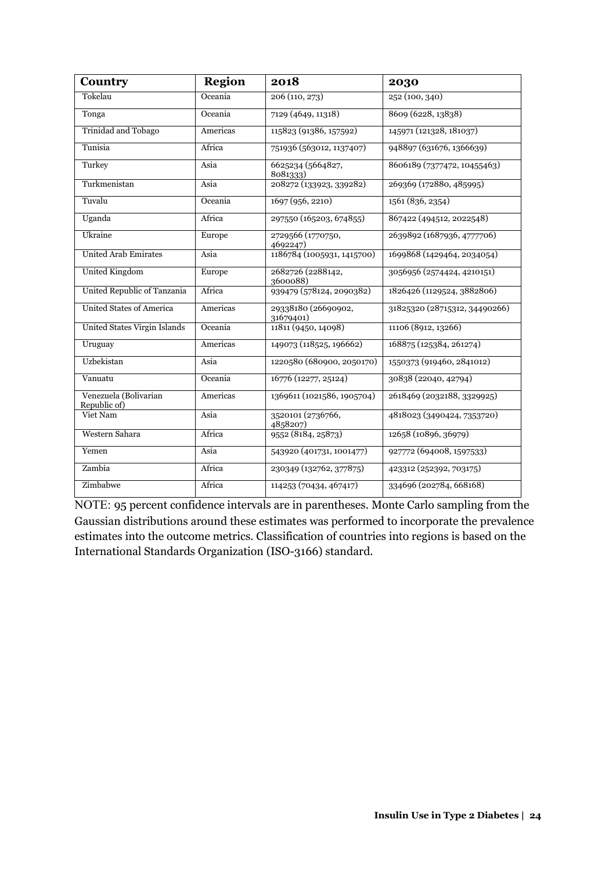| <b>Country</b>                        | <b>Region</b> | 2018                             | 2030                          |
|---------------------------------------|---------------|----------------------------------|-------------------------------|
| Tokelau                               | Oceania       | 206(110, 273)                    | 252 (100, 340)                |
| Tonga                                 | Oceania       | 7129 (4649, 11318)               | 8609 (6228, 13838)            |
| Trinidad and Tobago                   | Americas      | 115823 (91386, 157592)           | 145971 (121328, 181037)       |
| Tunisia                               | Africa        | 751936 (563012, 1137407)         | 948897 (631676, 1366639)      |
| Turkey                                | Asia          | 6625234 (5664827,<br>8081333)    | 8606189 (7377472, 10455463)   |
| Turkmenistan                          | Asia          | 208272 (133923, 339282)          | 269369 (172880, 485995)       |
| Tuvalu                                | Oceania       | 1697 (956, 2210)                 | 1561 (836, 2354)              |
| Uganda                                | Africa        | 297550 (165203, 674855)          | 867422 (494512, 2022548)      |
| Ukraine                               | Europe        | 2729566 (1770750,<br>4692247)    | 2639892 (1687936, 4777706)    |
| <b>United Arab Emirates</b>           | Asia          | 1186784 (1005931, 1415700)       | 1699868 (1429464, 2034054)    |
| <b>United Kingdom</b>                 | Europe        | 2682726 (2288142,<br>3600088)    | 3056956 (2574424, 4210151)    |
| United Republic of Tanzania           | Africa        | 939479 (578124, 2090382)         | 1826426 (1129524, 3882806)    |
| <b>United States of America</b>       | Americas      | 29338180 (26690902,<br>31679401) | 31825320 (28715312, 34490266) |
| United States Virgin Islands          | Oceania       | 11811 (9450, 14098)              | 11106 (8912, 13266)           |
| Uruguay                               | Americas      | 149073 (118525, 196662)          | 168875 (125384, 261274)       |
| Uzbekistan                            | Asia          | 1220580 (680900, 2050170)        | 1550373 (919460, 2841012)     |
| Vanuatu                               | Oceania       | 16776 (12277, 25124)             | 30838 (22040, 42794)          |
| Venezuela (Bolivarian<br>Republic of) | Americas      | 1369611 (1021586, 1905704)       | 2618469 (2032188, 3329925)    |
| Viet Nam                              | Asia          | 3520101 (2736766,<br>4858207)    | 4818023 (3490424, 7353720)    |
| Western Sahara                        | Africa        | 9552 (8184, 25873)               | 12658 (10896, 36979)          |
| Yemen                                 | Asia          | 543920 (401731, 1001477)         | 927772 (694008, 1597533)      |
| Zambia                                | Africa        | 230349 (132762, 377875)          | 423312 (252392, 703175)       |
| Zimbabwe                              | Africa        | 114253 (70434, 467417)           | 334696 (202784, 668168)       |

NOTE: 95 percent confidence intervals are in parentheses. Monte Carlo sampling from the Gaussian distributions around these estimates was performed to incorporate the prevalence estimates into the outcome metrics. Classification of countries into regions is based on the International Standards Organization (ISO-3166) standard.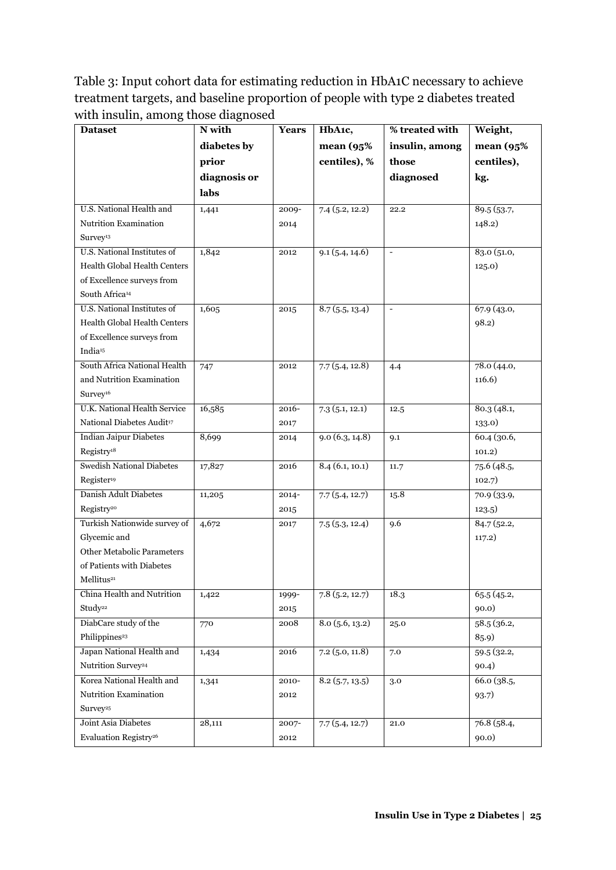Table 3: Input cohort data for estimating reduction in HbA1C necessary to achieve treatment targets, and baseline proportion of people with type 2 diabetes treated with insulin, among those diagnosed

| <b>Dataset</b>                        | N with       | <b>Years</b> | HbA1c,             | % treated with           | Weight,     |
|---------------------------------------|--------------|--------------|--------------------|--------------------------|-------------|
|                                       | diabetes by  |              | mean (95%)         | insulin, among           | mean (95%   |
|                                       | prior        |              | centiles), %       | those                    | centiles),  |
|                                       | diagnosis or |              |                    | diagnosed                | kg.         |
|                                       | labs         |              |                    |                          |             |
| U.S. National Health and              | 1,441        | 2009-        | 7.4(5.2, 12.2)     | 22.2                     | 89.5 (53.7, |
| Nutrition Examination                 |              | 2014         |                    |                          | 148.2)      |
| Survey <sup>13</sup>                  |              |              |                    |                          |             |
| U.S. National Institutes of           | 1,842        | 2012         | 9.1(5.4, 14.6)     | $\overline{\phantom{a}}$ | 83.0(51.0,  |
| Health Global Health Centers          |              |              |                    |                          | 125.0)      |
| of Excellence surveys from            |              |              |                    |                          |             |
| South Africa <sup>14</sup>            |              |              |                    |                          |             |
| U.S. National Institutes of           | 1,605        | 2015         | 8.7(5.5, 13.4)     | $\overline{\phantom{a}}$ | 67.9 (43.0, |
| Health Global Health Centers          |              |              |                    |                          | 98.2)       |
| of Excellence surveys from            |              |              |                    |                          |             |
| India <sup>15</sup>                   |              |              |                    |                          |             |
| South Africa National Health          | 747          | 2012         | 7.7(5.4, 12.8)     | 4.4                      | 78.0(44.0,  |
| and Nutrition Examination             |              |              |                    |                          | 116.6)      |
| Survey <sup>16</sup>                  |              |              |                    |                          |             |
| <b>U.K. National Health Service</b>   | 16,585       | 2016-        | 7.3(5.1, 12.1)     | 12.5                     | 80.3(48.1,  |
| National Diabetes Audit <sup>17</sup> |              | 2017         |                    |                          | 133.0)      |
| <b>Indian Jaipur Diabetes</b>         | 8,699        | 2014         | 9.0(6.3, 14.8)     | 9.1                      | 60.4(30.6,  |
| Registry <sup>18</sup>                |              |              |                    |                          | 101.2)      |
| <b>Swedish National Diabetes</b>      | 17,827       | 2016         | 8.4(6.1, 10.1)     | 11.7                     | 75.6(48.5,  |
| Register <sup>19</sup>                |              |              |                    |                          | 102.7)      |
| Danish Adult Diabetes                 | 11,205       | $2014 -$     | 7.7(5.4, 12.7)     | 15.8                     | 70.9 (33.9, |
| Registry <sup>20</sup>                |              | 2015         |                    |                          | 123.5)      |
| Turkish Nationwide survey of          | 4,672        | 2017         | 7.5(5.3, 12.4)     | 9.6                      | 84.7(52.2,  |
| Glycemic and                          |              |              |                    |                          | 117.2)      |
| Other Metabolic Parameters            |              |              |                    |                          |             |
| of Patients with Diabetes             |              |              |                    |                          |             |
| Mellitus <sup>21</sup>                |              |              |                    |                          |             |
| China Health and Nutrition            | 1,422        | 1999-        | 7.8(5.2, 12.7)     | 18.3                     | 65.5 (45.2, |
| Study <sup>22</sup>                   |              | 2015         |                    |                          | 90.0)       |
| DiabCare study of the                 | 770          | 2008         | $8.0\,(5.6, 13.2)$ | 25.0                     | 58.5(36.2,  |
| Philippines <sup>23</sup>             |              |              |                    |                          | 85.9)       |
| Japan National Health and             | 1,434        | 2016         | $7.2$ (5.0, 11.8)  | 7.0                      | 59.5 (32.2, |
| Nutrition Survey <sup>24</sup>        |              |              |                    |                          | 90.4)       |
| Korea National Health and             | 1,341        | 2010-        | 8.2(5.7, 13.5)     | 3.0                      | 66.0 (38.5, |
| Nutrition Examination                 |              | 2012         |                    |                          | 93.7)       |
| Survey <sup>25</sup>                  |              |              |                    |                          |             |
| Joint Asia Diabetes                   | 28,111       | 2007-        | 7.7(5.4, 12.7)     | 21.0                     | 76.8 (58.4, |
| Evaluation Registry <sup>26</sup>     |              | 2012         |                    |                          | 90.0)       |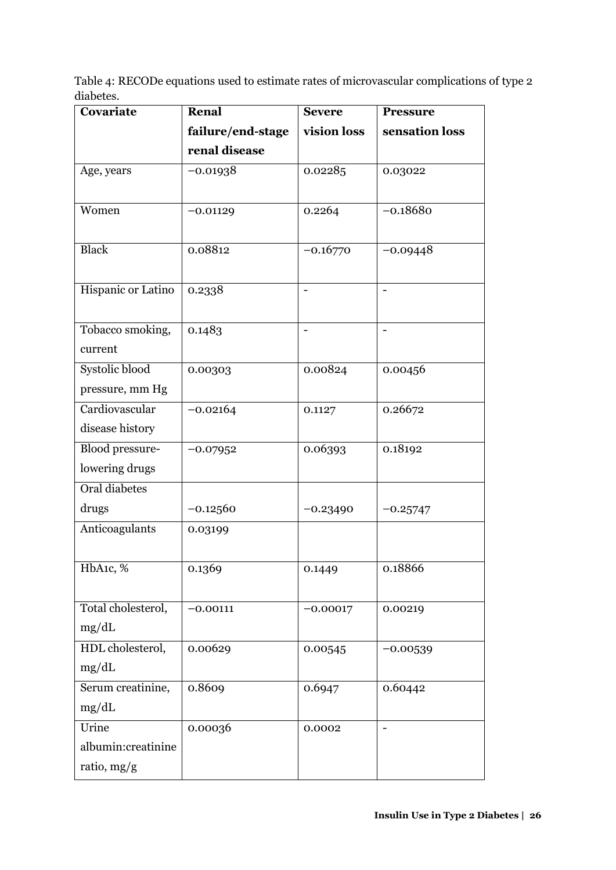Table 4: RECODe equations used to estimate rates of microvascular complications of type 2 diabetes.

| Covariate              | <b>Renal</b>      | <b>Severe</b> | <b>Pressure</b>              |
|------------------------|-------------------|---------------|------------------------------|
|                        | failure/end-stage | vision loss   | sensation loss               |
|                        | renal disease     |               |                              |
| Age, years             | $-0.01938$        | 0.02285       | 0.03022                      |
|                        |                   |               |                              |
| Women                  | $-0.01129$        | 0.2264        | $-0.18680$                   |
|                        |                   |               |                              |
| <b>Black</b>           | 0.08812           | $-0.16770$    | $-0.09448$                   |
|                        |                   |               |                              |
| Hispanic or Latino     | 0.2338            |               | $\qquad \qquad \blacksquare$ |
|                        |                   |               |                              |
| Tobacco smoking,       | 0.1483            |               | $\overline{\phantom{a}}$     |
| current                |                   |               |                              |
| Systolic blood         | 0.00303           | 0.00824       | 0.00456                      |
| pressure, mm Hg        |                   |               |                              |
| Cardiovascular         | $-0.02164$        | 0.1127        | 0.26672                      |
| disease history        |                   |               |                              |
| <b>Blood</b> pressure- | $-0.07952$        | 0.06393       | 0.18192                      |
| lowering drugs         |                   |               |                              |
| Oral diabetes          |                   |               |                              |
| drugs                  | $-0.12560$        | $-0.23490$    | $-0.25747$                   |
| Anticoagulants         | 0.03199           |               |                              |
|                        |                   |               |                              |
| HbA1c, %               | 0.1369            | 0.1449        | 0.18866                      |
|                        |                   |               |                              |
| Total cholesterol,     | $-0.00111$        | $-0.00017$    | 0.00219                      |
| mg/dL                  |                   |               |                              |
| HDL cholesterol,       | 0.00629           | 0.00545       | $-0.00539$                   |
| mg/dL                  |                   |               |                              |
| Serum creatinine,      | 0.8609            | 0.6947        | 0.60442                      |
| mg/dL                  |                   |               |                              |
| Urine                  | 0.00036           | 0.0002        |                              |
| albumin:creatinine     |                   |               |                              |
| ratio, mg/g            |                   |               |                              |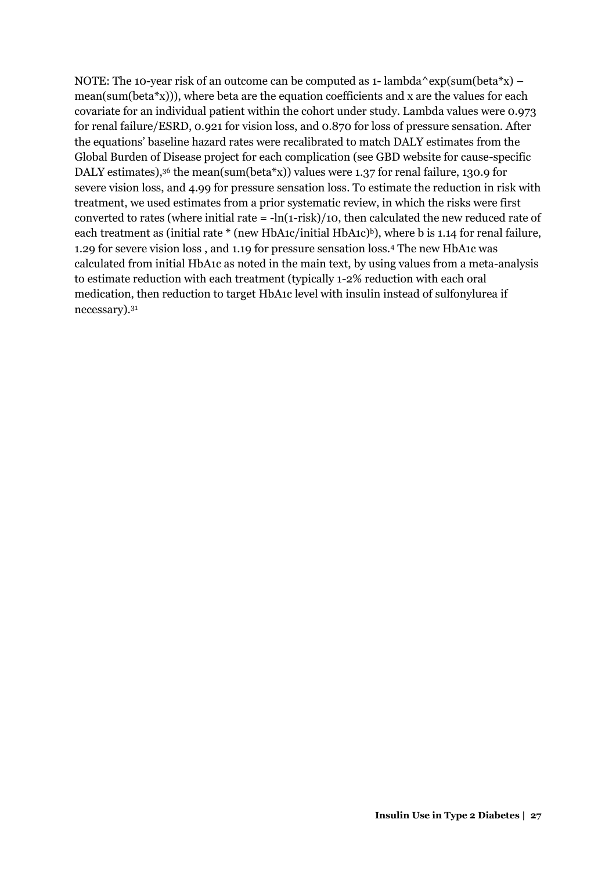NOTE: The 10-year risk of an outcome can be computed as 1- lambda^exp(sum(beta\*x) – mean(sum(beta\*x))), where beta are the equation coefficients and x are the values for each covariate for an individual patient within the cohort under study. Lambda values were 0.973 for renal failure/ESRD, 0.921 for vision loss, and 0.870 for loss of pressure sensation. After the equations' baseline hazard rates were recalibrated to match DALY estimates from the Global Burden of Disease project for each complication (see GBD website for cause-specific DALY estimates),<sup>36</sup> the mean(sum(beta\*x)) values were 1.37 for renal failure, 130.9 for severe vision loss, and 4.99 for pressure sensation loss. To estimate the reduction in risk with treatment, we used estimates from a prior systematic review, in which the risks were first converted to rates (where initial rate  $= -\ln(1-\text{risk})/10$ , then calculated the new reduced rate of each treatment as (initial rate  $*$  (new HbA1c/initial HbA1c)<sup>b</sup>), where b is 1.14 for renal failure, 1.29 for severe vision loss , and 1.19 for pressure sensation loss.<sup>4</sup> The new HbA1c was calculated from initial HbA1c as noted in the main text, by using values from a meta-analysis to estimate reduction with each treatment (typically 1-2% reduction with each oral medication, then reduction to target HbA1c level with insulin instead of sulfonylurea if necessary).<sup>31</sup>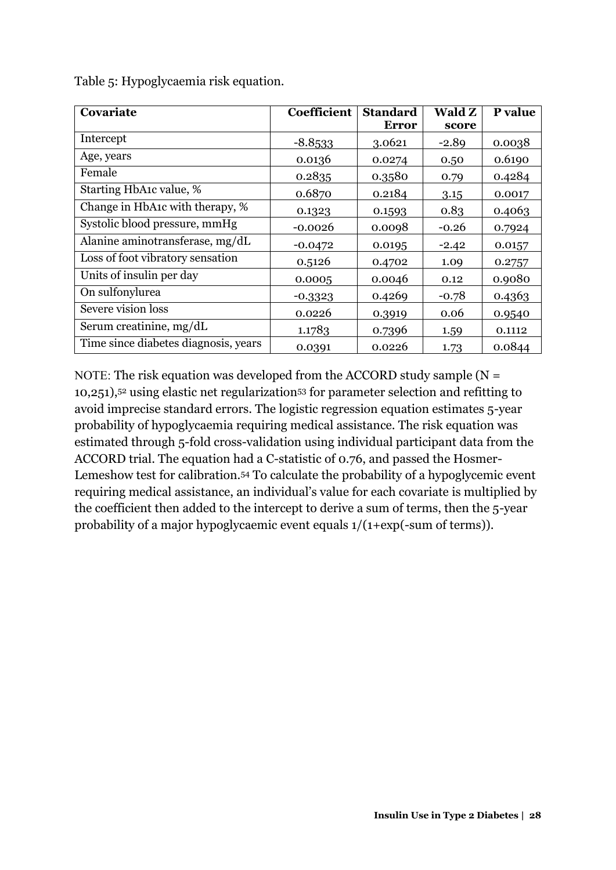| Covariate                            | Coefficient | <b>Standard</b> | Wald Z  | P value |
|--------------------------------------|-------------|-----------------|---------|---------|
|                                      |             | Error           | score   |         |
| Intercept                            | $-8.8533$   | 3.0621          | $-2.89$ | 0.0038  |
| Age, years                           | 0.0136      | 0.0274          | 0.50    | 0.6190  |
| Female                               | 0.2835      | 0.3580          | 0.79    | 0.4284  |
| Starting HbA1c value, %              | 0.6870      | 0.2184          | 3.15    | 0.0017  |
| Change in HbA1c with therapy, %      | 0.1323      | 0.1593          | 0.83    | 0.4063  |
| Systolic blood pressure, mmHg        | $-0.0026$   | 0.0098          | $-0.26$ | 0.7924  |
| Alanine aminotransferase, mg/dL      | $-0.0472$   | 0.0195          | $-2.42$ | 0.0157  |
| Loss of foot vibratory sensation     | 0.5126      | 0.4702          | 1.09    | 0.2757  |
| Units of insulin per day             | 0.0005      | 0.0046          | 0.12    | 0.9080  |
| On sulfonylurea                      | $-0.3323$   | 0.4269          | $-0.78$ | 0.4363  |
| Severe vision loss                   | 0.0226      | 0.3919          | 0.06    | 0.9540  |
| Serum creatinine, mg/dL              | 1.1783      | 0.7396          | 1.59    | 0.1112  |
| Time since diabetes diagnosis, years | 0.0391      | 0.0226          | 1.73    | 0.0844  |

Table 5: Hypoglycaemia risk equation.

NOTE: The risk equation was developed from the ACCORD study sample  $(N =$ 10,251),52 using elastic net regularization53 for parameter selection and refitting to avoid imprecise standard errors. The logistic regression equation estimates 5-year probability of hypoglycaemia requiring medical assistance. The risk equation was estimated through 5-fold cross-validation using individual participant data from the ACCORD trial. The equation had a C-statistic of 0.76, and passed the Hosmer-Lemeshow test for calibration.54 To calculate the probability of a hypoglycemic event requiring medical assistance, an individual's value for each covariate is multiplied by the coefficient then added to the intercept to derive a sum of terms, then the 5-year probability of a major hypoglycaemic event equals 1/(1+exp(-sum of terms)).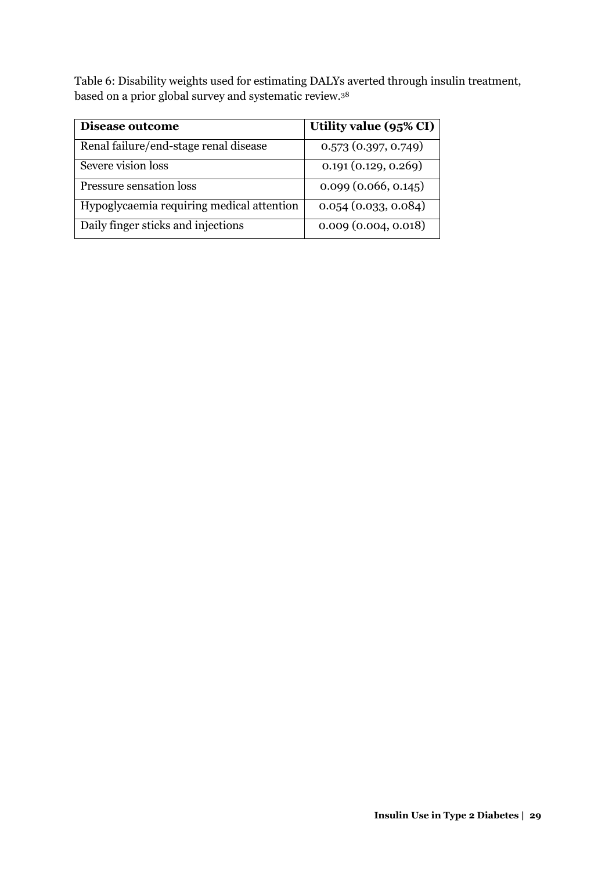Table 6: Disability weights used for estimating DALYs averted through insulin treatment, based on a prior global survey and systematic review.<sup>38</sup>

| Disease outcome                           | Utility value (95% CI) |
|-------------------------------------------|------------------------|
| Renal failure/end-stage renal disease     | 0.573(0.397, 0.749)    |
| Severe vision loss                        | 0.191(0.129, 0.269)    |
| Pressure sensation loss                   | 0.099(0.066, 0.145)    |
| Hypoglycaemia requiring medical attention | 0.054(0.033, 0.084)    |
| Daily finger sticks and injections        | 0.009(0.004, 0.018)    |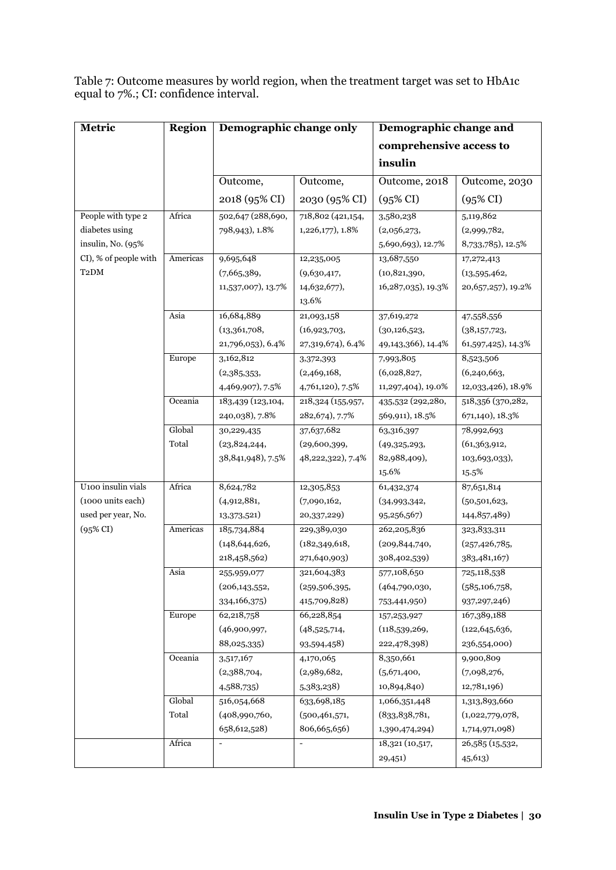Table 7: Outcome measures by world region, when the treatment target was set to HbA1c equal to 7%.; CI: confidence interval.

| Metric                | <b>Region</b> | Demographic change only |                              | Demographic change and  |                      |
|-----------------------|---------------|-------------------------|------------------------------|-------------------------|----------------------|
|                       |               |                         |                              | comprehensive access to |                      |
|                       |               |                         |                              | insulin                 |                      |
|                       |               | Outcome,                | Outcome,                     | Outcome, 2018           | Outcome, 2030        |
|                       |               | 2018 (95% CI)           | 2030 (95% CI)                | $(95\% \text{ CI})$     | $(95\% \text{ CI})$  |
|                       |               |                         |                              |                         |                      |
| People with type 2    | Africa        | 502,647 (288,690,       | 718,802 (421,154,            | 3,580,238               | 5,119,862            |
| diabetes using        |               | 798,943), 1.8%          | 1,226,177), 1.8%             | (2,056,273,             | (2,999,782,          |
| insulin, No. (95%     |               |                         |                              | 5,690,693), 12.7%       | 8,733,785), 12.5%    |
| CI), % of people with | Americas      | 9,695,648               | 12,235,005                   | 13,687,550              | 17,272,413           |
| T <sub>2</sub> DM     |               | (7,665,389,             | (9,630,417,                  | (10, 821, 390,          | (13,595,462,         |
|                       |               | 11,537,007), 13.7%      | 14,632,677),                 | 16, 287, 035), 19.3%    | 20, 657, 257), 19.2% |
|                       |               |                         | 13.6%                        |                         |                      |
|                       | Asia          | 16,684,889              | 21,093,158                   | 37,619,272              | 47,558,556           |
|                       |               | (13,361,708,            | (16,923,703,                 | (30, 126, 523,          | (38,157,723,         |
|                       |               | 21,796,053), 6.4%       | 27,319,674), 6.4%            | 49, 143, 366), 14. 4%   | 61,597,425), 14.3%   |
|                       | Europe        | 3,162,812               | 3,372,393                    | 7,993,805               | 8,523,506            |
|                       |               | (2,385,353,             | (2,469,168,                  | (6,028,827,             | (6,240,663,          |
|                       |               | 4,469,907), 7.5%        | 4,761,120), 7.5%             | 11,297,404), 19.0%      | 12,033,426), 18.9%   |
|                       | Oceania       | 183,439 (123,104,       | 218,324 (155,957,            | 435,532 (292,280,       | 518,356 (370,282,    |
|                       |               | 240,038), 7.8%          | 282,674), 7.7%               | 569,911), 18.5%         | 671,140), 18.3%      |
|                       | Global        | 30,229,435              | 37,637,682                   | 63,316,397              | 78,992,693           |
|                       | Total         | (23, 824, 244,          | (29,600,399,                 | (49,325,293,            | (61,363,912,         |
|                       |               | 38,841,948), 7.5%       | 48,222,322), 7.4%            | 82,988,409),            | 103,693,033),        |
|                       |               |                         |                              | 15.6%                   | 15.5%                |
| U100 insulin vials    | Africa        | 8,624,782               | 12,305,853                   | 61,432,374              | 87,651,814           |
| (1000 units each)     |               | (4,912,881,             | (7,090,162,                  | (34,993,342,            | (50, 501, 623,       |
| used per year, No.    |               | 13,373,521)             | 20,337,229)                  | 95,256,567)             | 144,857,489)         |
| $(95\%$ CI)           | Americas      | 185,734,884             | 229,389,030                  | 262,205,836             | 323,833,311          |
|                       |               | (148, 644, 626,         | (182, 349, 618,              | (209, 844, 740,         | (257, 426, 785,      |
|                       |               | 218,458,562)            | 271,640,903)                 | 308,402,539)            | 383,481,167)         |
|                       | Asia          | 255,959,077             | 321,604,383                  | 577,108,650             | 725,118,538          |
|                       |               | (206, 143, 552,         | (259, 506, 395,              | (464,790,030,           | (585, 106, 758,      |
|                       |               | 334,166,375)            | 415,709,828)                 | 753,441,950)            | 937, 297, 246)       |
|                       | Europe        | 62,218,758              | 66,228,854                   | 157,253,927             | 167,389,188          |
|                       |               | (46,900,997,            | (48,525,714,                 | (118, 539, 269,         | (122, 645, 636,      |
|                       |               | 88,025,335)             | 93,594,458)                  | 222,478,398)            | 236,554,000)         |
|                       | Oceania       | 3,517,167               | 4,170,065                    | 8,350,661               | 9,900,809            |
|                       |               | (2,388,704,             | (2,989,682,                  | (5,671,400,             | (7,098,276,          |
|                       |               | 4,588,735               | 5,383,238)                   | 10,894,840)             | 12,781,196)          |
|                       | Global        | 516,054,668             | 633,698,185                  | 1,066,351,448           | 1,313,893,660        |
|                       | Total         | (408,990,760,           | (500, 461, 571,              | (833, 838, 781,         | (1,022,779,078,      |
|                       |               | 658, 612, 528)          | 806,665,656)                 | 1,390,474,294)          | 1,714,971,098)       |
|                       | Africa        | $\overline{a}$          | $\qquad \qquad \blacksquare$ | 18,321 (10,517,         | 26,585 (15,532,      |
|                       |               |                         |                              | 29,451)                 | 45,613)              |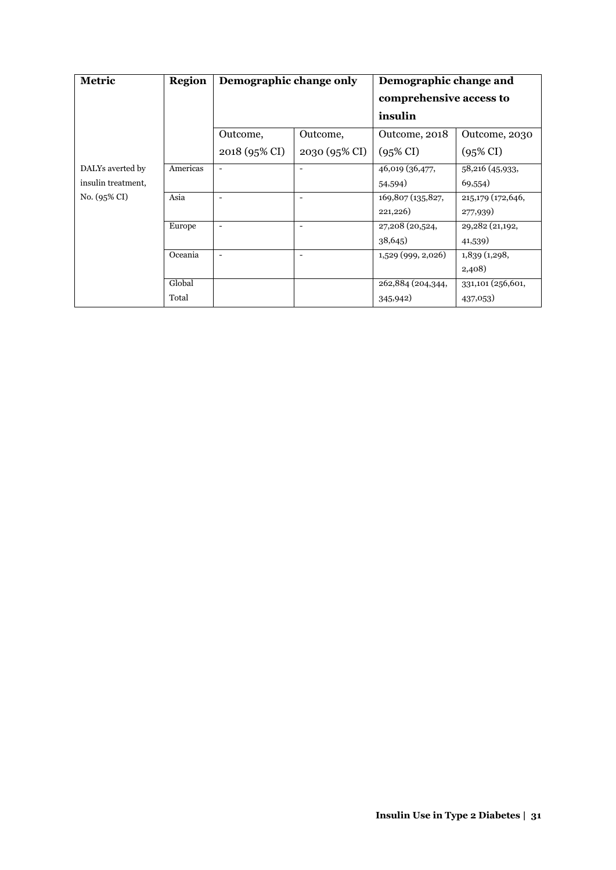| Metric             | <b>Region</b> | Demographic change only  |                          | Demographic change and             |                     |
|--------------------|---------------|--------------------------|--------------------------|------------------------------------|---------------------|
|                    |               |                          |                          | comprehensive access to<br>insulin |                     |
|                    |               |                          |                          |                                    |                     |
|                    |               | Outcome,                 | Outcome,                 | Outcome, 2018                      | Outcome, 2030       |
|                    |               | 2018 (95% CI)            | 2030 (95% CI)            | $(95\% \text{ CI})$                | $(95\% \text{ CI})$ |
| DALYs averted by   | Americas      | $\overline{\phantom{a}}$ | $\overline{\phantom{a}}$ | 46,019 (36,477,                    | 58,216 (45,933,     |
| insulin treatment, |               |                          |                          | 54,594)                            | 69,554)             |
| $No. (95\% CI)$    | Asia          | $\overline{\phantom{0}}$ | $\overline{\phantom{a}}$ | 169,807 (135,827,                  | 215,179 (172,646,   |
|                    |               |                          |                          | 221,226)                           | 277,939)            |
|                    | Europe        | $\overline{\phantom{a}}$ | $\overline{\phantom{a}}$ | 27,208 (20,524,                    | 29,282 (21,192,     |
|                    |               |                          |                          | 38,645                             | 41,539)             |
|                    | Oceania       | $\overline{\phantom{a}}$ | $\overline{\phantom{a}}$ | $1,529$ (999, 2,026)               | 1,839(1,298,        |
|                    |               |                          |                          |                                    | 2,408)              |
|                    | Global        |                          |                          | 262,884 (204,344,                  | 331,101 (256,601,   |
|                    | Total         |                          |                          | 345,942)                           | 437,053)            |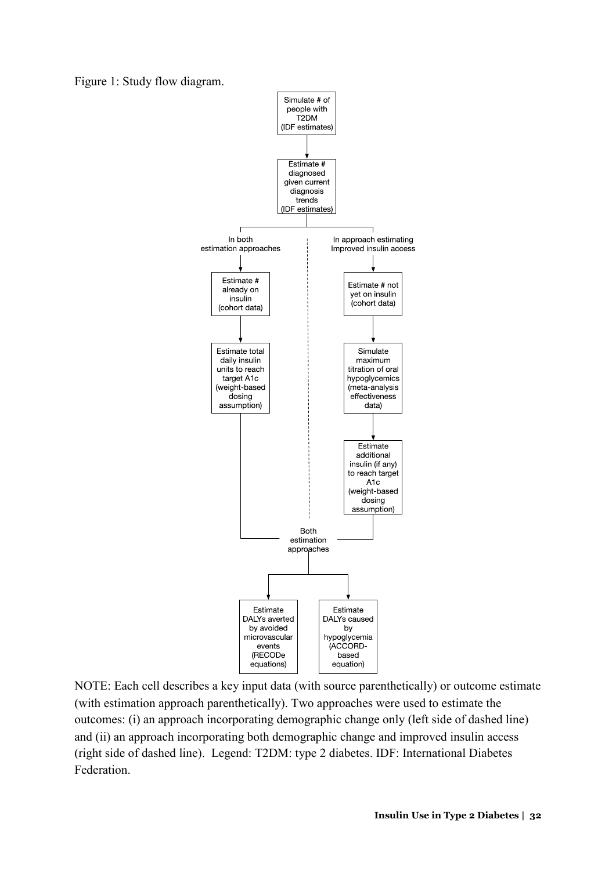Figure 1: Study flow diagram.



NOTE: Each cell describes a key input data (with source parenthetically) or outcome estimate (with estimation approach parenthetically). Two approaches were used to estimate the outcomes: (i) an approach incorporating demographic change only (left side of dashed line) and (ii) an approach incorporating both demographic change and improved insulin access (right side of dashed line). Legend: T2DM: type 2 diabetes. IDF: International Diabetes Federation.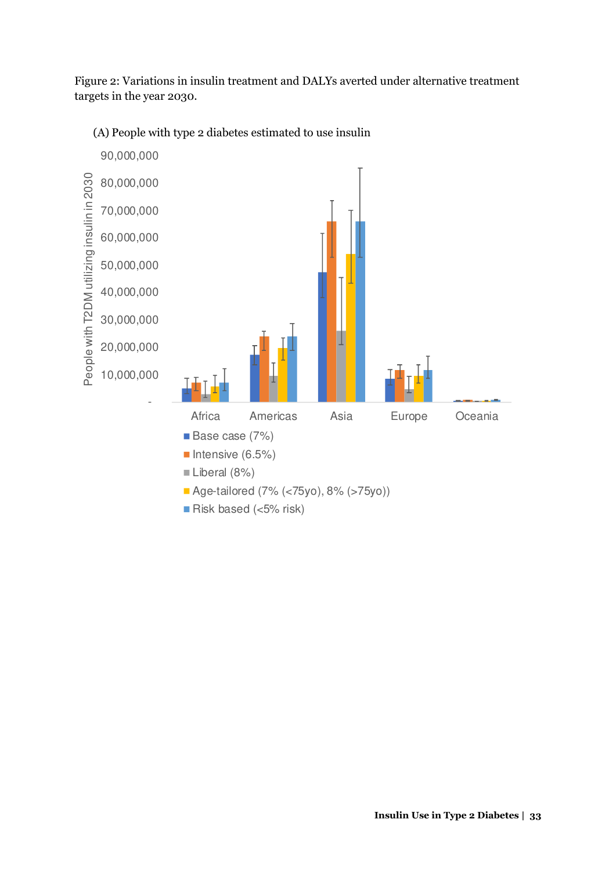Figure 2: Variations in insulin treatment and DALYs averted under alternative treatment targets in the year 2030.

(A) People with type 2 diabetes estimated to use insulin

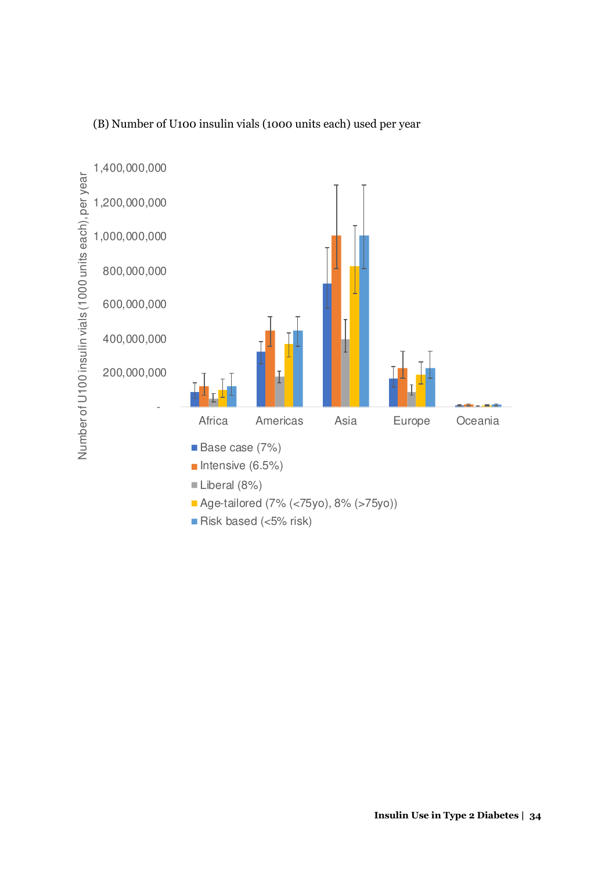

### (B) Number of U100 insulin vials (1000 units each) used per year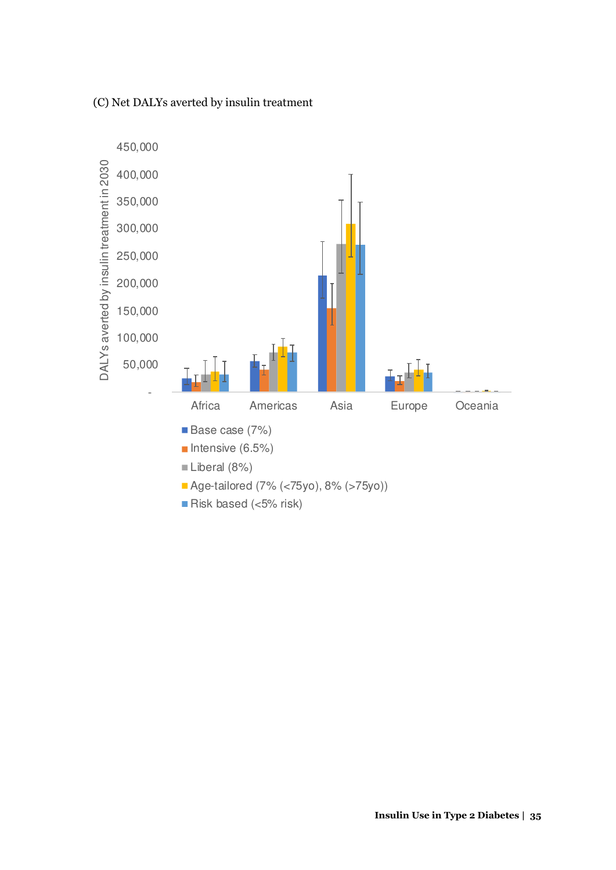(C) Net DALYs averted by insulin treatment

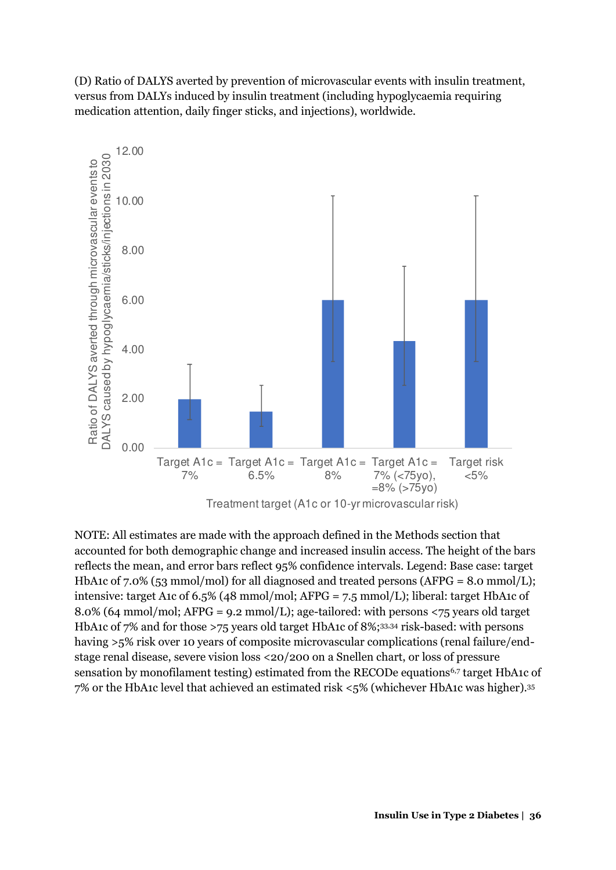(D) Ratio of DALYS averted by prevention of microvascular events with insulin treatment, versus from DALYs induced by insulin treatment (including hypoglycaemia requiring medication attention, daily finger sticks, and injections), worldwide.



NOTE: All estimates are made with the approach defined in the Methods section that accounted for both demographic change and increased insulin access. The height of the bars reflects the mean, and error bars reflect 95% confidence intervals. Legend: Base case: target HbA1c of 7.0% (53 mmol/mol) for all diagnosed and treated persons (AFPG = 8.0 mmol/L); intensive: target A1c of 6.5% (48 mmol/mol; AFPG = 7.5 mmol/L); liberal: target HbA1c of 8.0% (64 mmol/mol; AFPG = 9.2 mmol/L); age-tailored: with persons <75 years old target HbA1c of 7% and for those >75 years old target HbA1c of 8%;33,34 risk-based: with persons having >5% risk over 10 years of composite microvascular complications (renal failure/endstage renal disease, severe vision loss <20/200 on a Snellen chart, or loss of pressure sensation by monofilament testing) estimated from the RECODe equations<sup>6,7</sup> target HbA1c of 7% or the HbA1c level that achieved an estimated risk <5% (whichever HbA1c was higher).<sup>35</sup>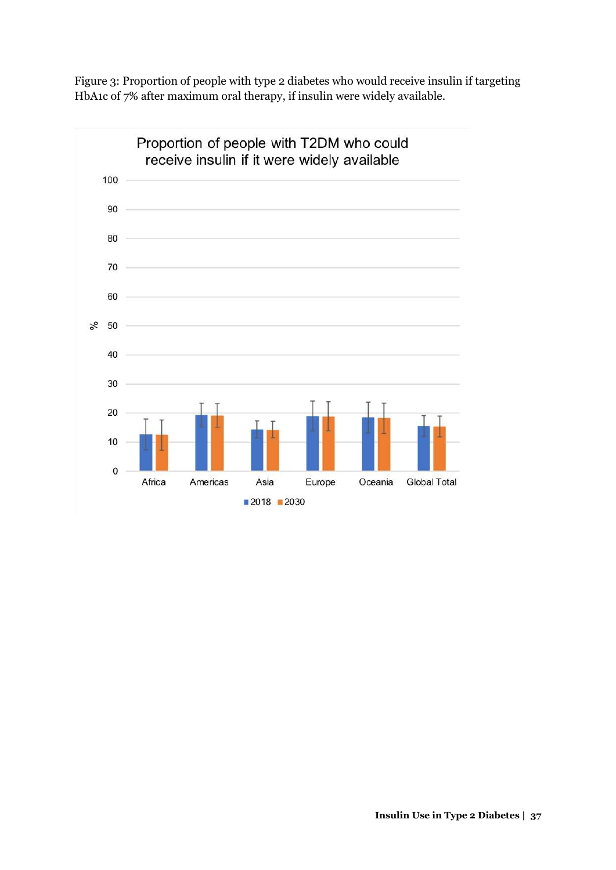Figure 3: Proportion of people with type 2 diabetes who would receive insulin if targeting HbA1c of 7% after maximum oral therapy, if insulin were widely available.

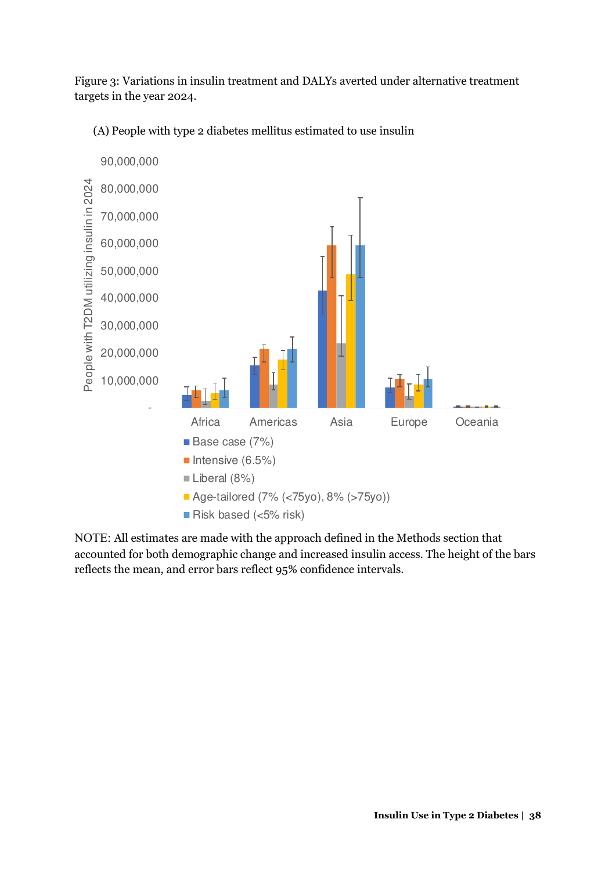Figure 3: Variations in insulin treatment and DALYs averted under alternative treatment targets in the year 2024.

(A) People with type 2 diabetes mellitus estimated to use insulin



NOTE: All estimates are made with the approach defined in the Methods section that accounted for both demographic change and increased insulin access. The height of the bars reflects the mean, and error bars reflect 95% confidence intervals.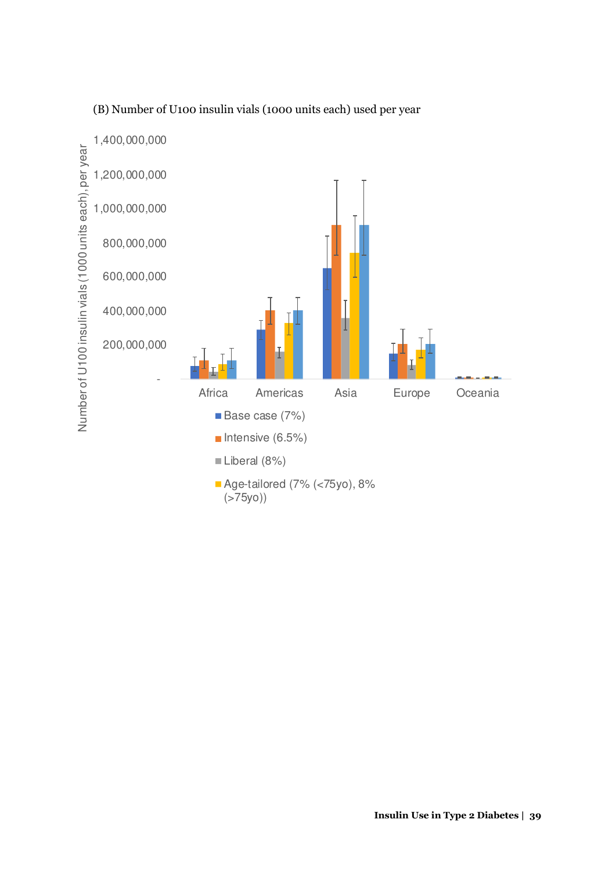

### (B) Number of U100 insulin vials (1000 units each) used per year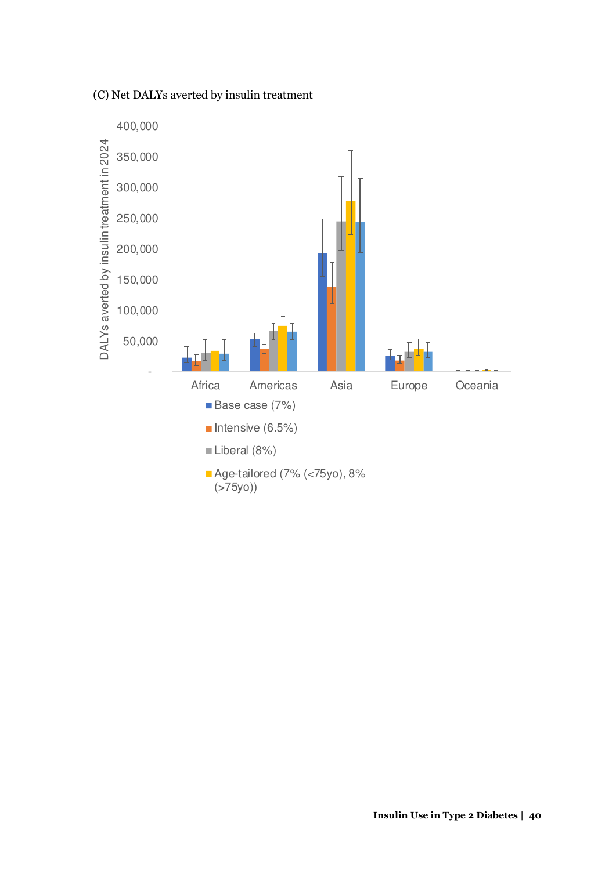#### (C) Net DALYs averted by insulin treatment